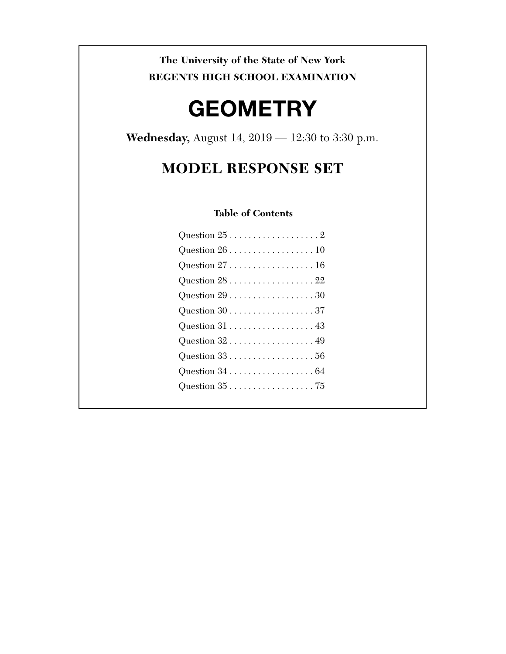**The University of the State of New York REGENTS HIGH SCHOOL EXAMINATION** 

# **GEOMETRY**

**Wednesday,** August 14, 2019 — 12:30 to 3:30 p.m.

# **MODEL RESPONSE SET**

# **Table of Contents**

| Question $26 \ldots \ldots \ldots \ldots \ldots 10$ |
|-----------------------------------------------------|
| Question $27$ 16                                    |
| Question $28$ 22                                    |
| Question $29$ 30                                    |
|                                                     |
|                                                     |
| Question $32$ 49                                    |
|                                                     |
|                                                     |
|                                                     |
|                                                     |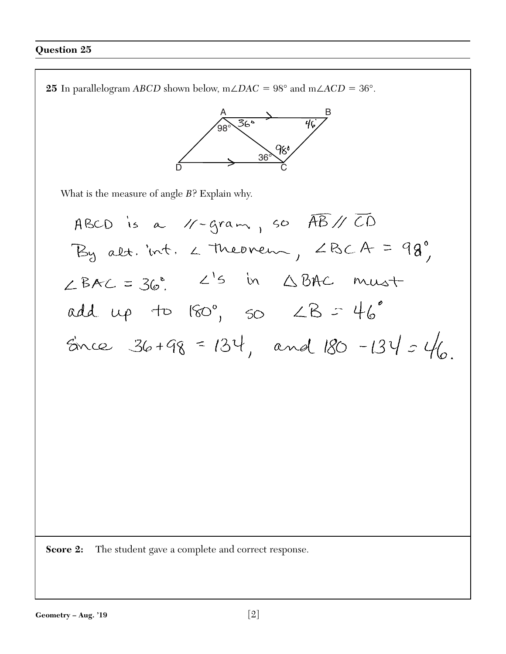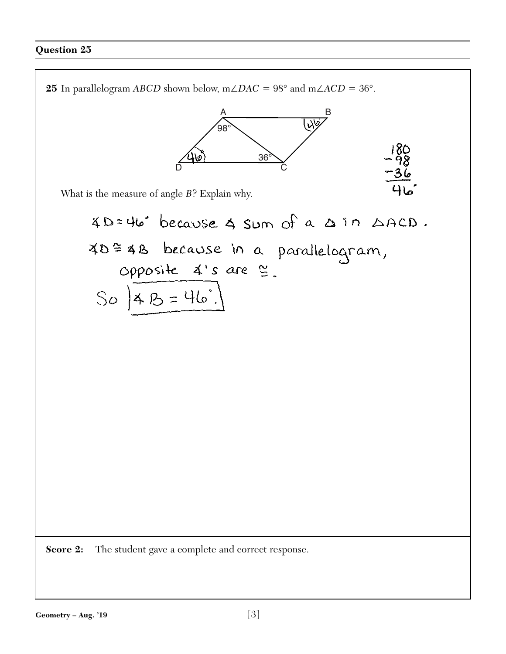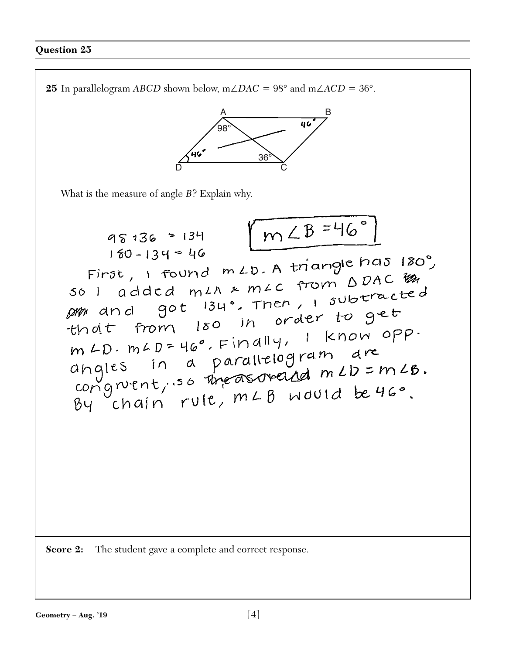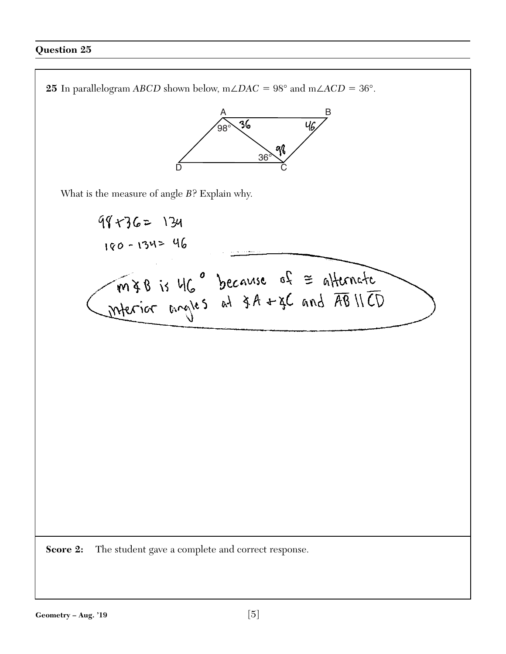**25** In parallelogram *ABCD* shown below, m∠*DAC* = 98° and m∠*ACD* = 36°.  $\sqrt{a}$ 98° 36° 98 D Constantinople of the constant of the constant of the constant of the constant of the constant of the constant of the constant of the constant of the constant of the constant of the constant of the constant of the consta What is the measure of angle *B*? Explain why.  $99 + 36 = 134$ 180-134= 46 MIB is MC° because of = affermate **Score 2:** The student gave a complete and correct response.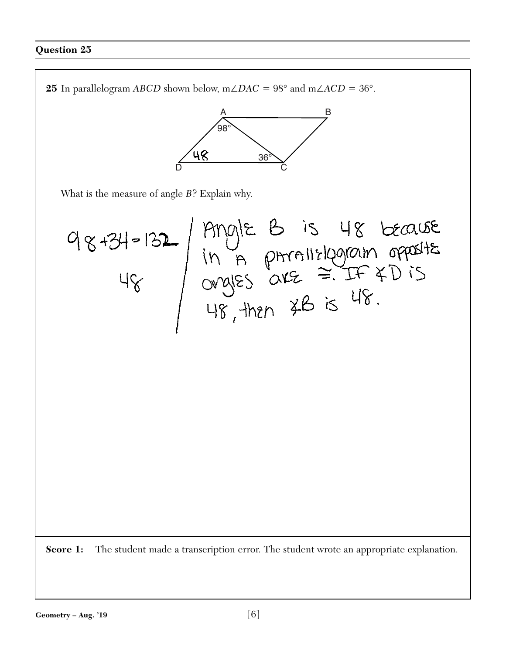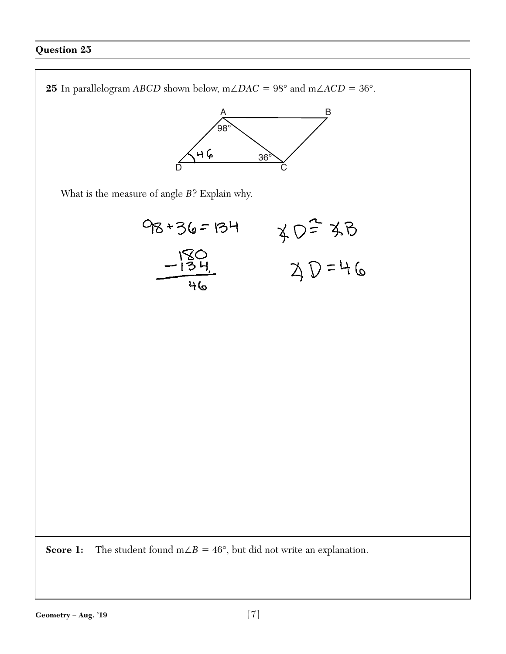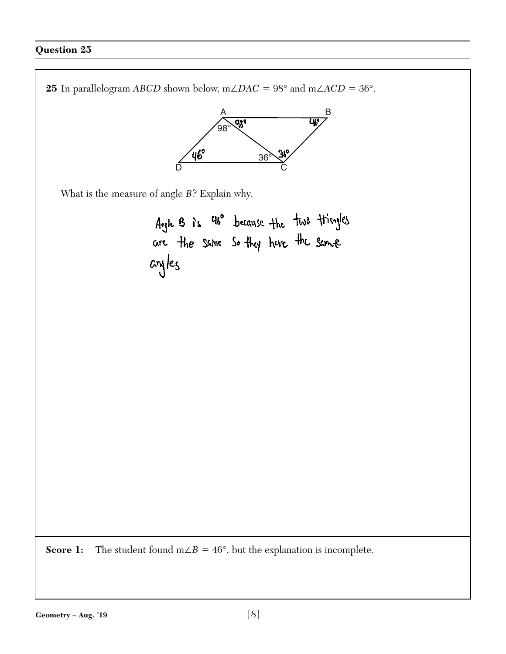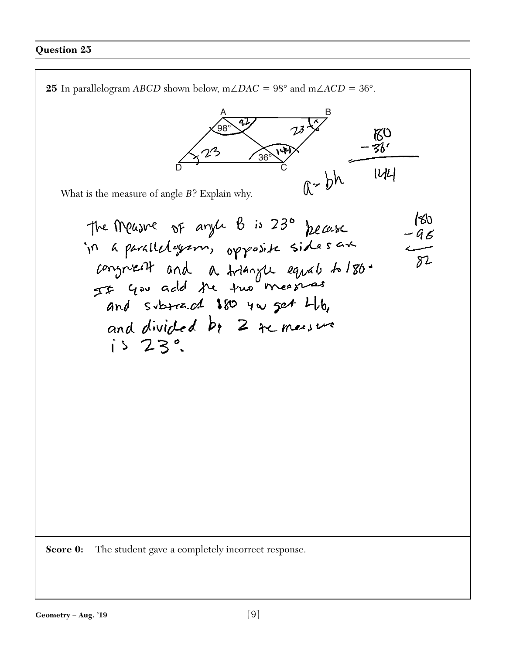**25** In parallelogram *ABCD* shown below, m∠*DAC* = 98° and m∠*ACD* = 36°.  $\sim$   $41/$   $\sim$   $\sim$   $\sim$  $\frac{98^{\circ}}{2}$  $R_{\Omega}$  $-36'$  $\frac{36}{9}$  $a-bh$  144 D Constantinople of the constant of the constant of the constant of the constant of the constant of the constant of the constant of the constant of the constant of the constant of the constant of the constant of the consta What is the measure of angle *B*? Explain why.  $80$ The Measure of anyle B is 230 pecase  $-96$ in a parallelogram, opposite sides are<br>congruent and a triangue equal to 186. and divided by 2 remessure  $i523$ **Score 0:** The student gave a completely incorrect response.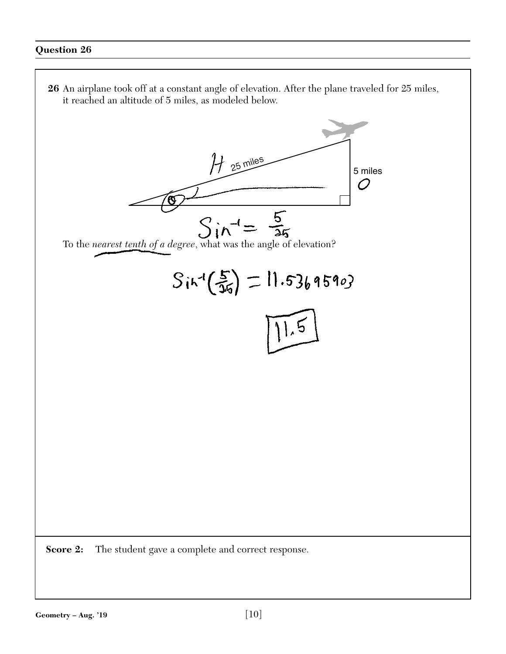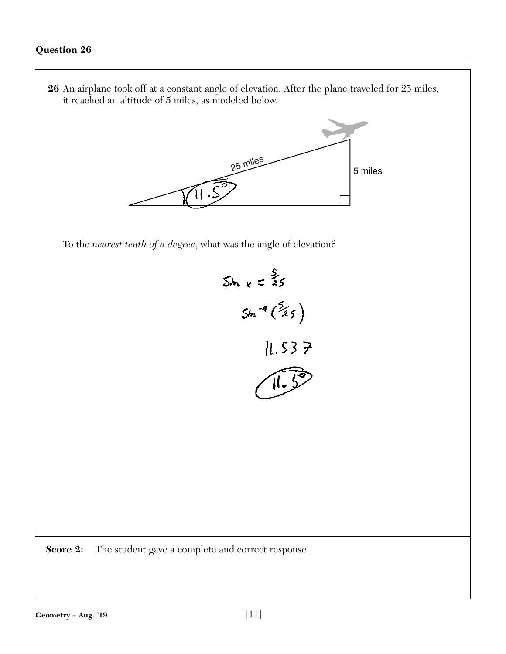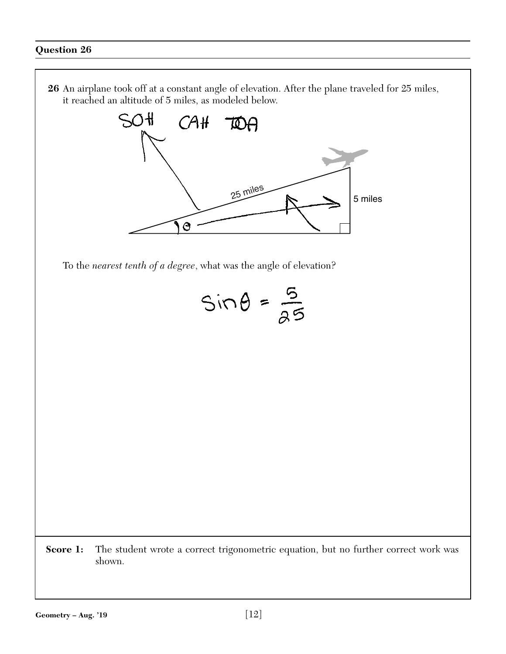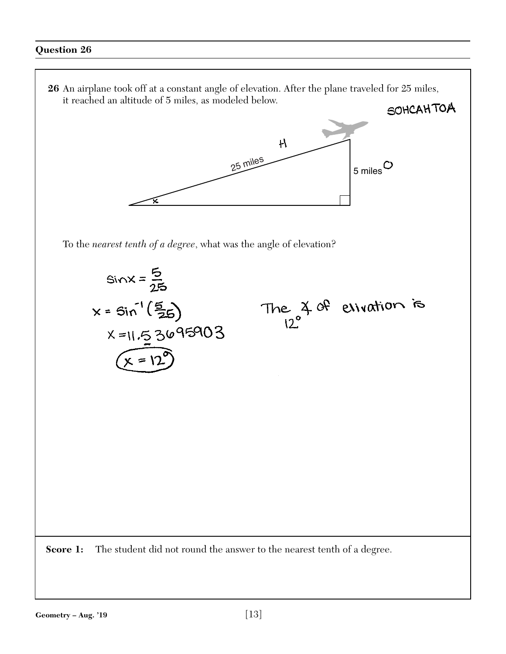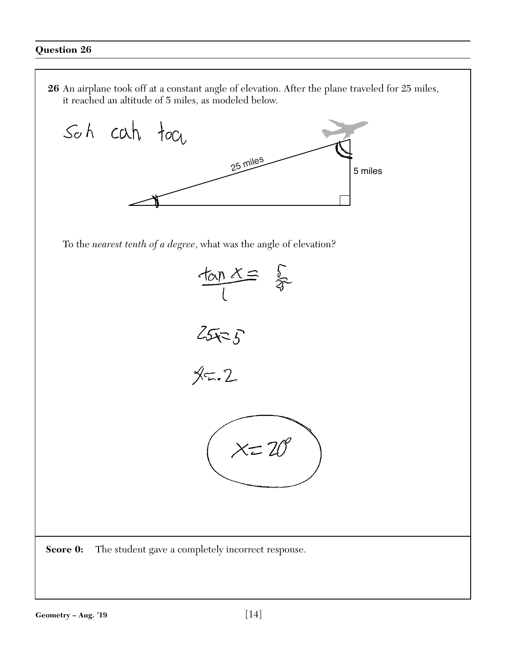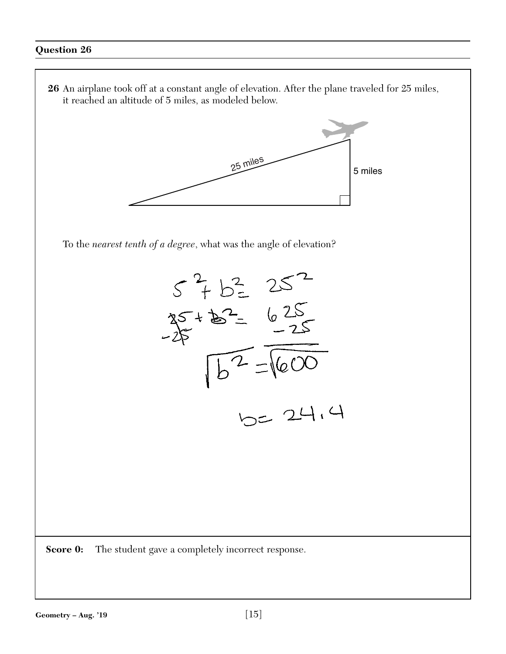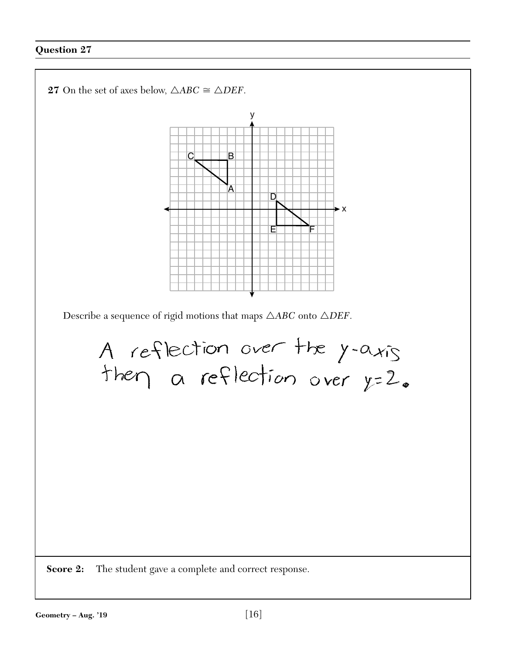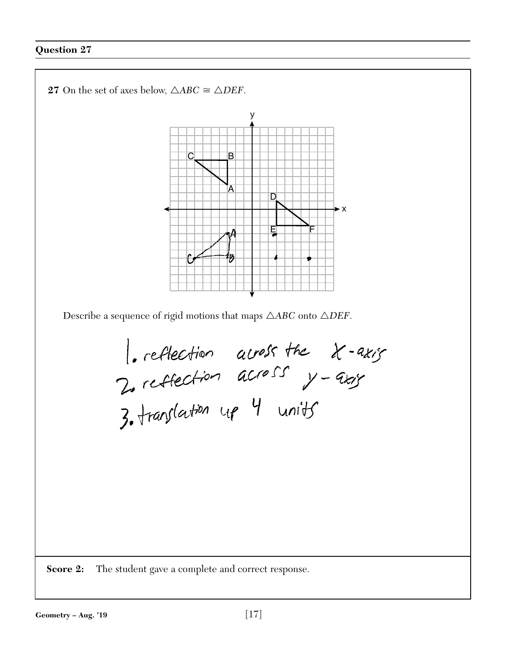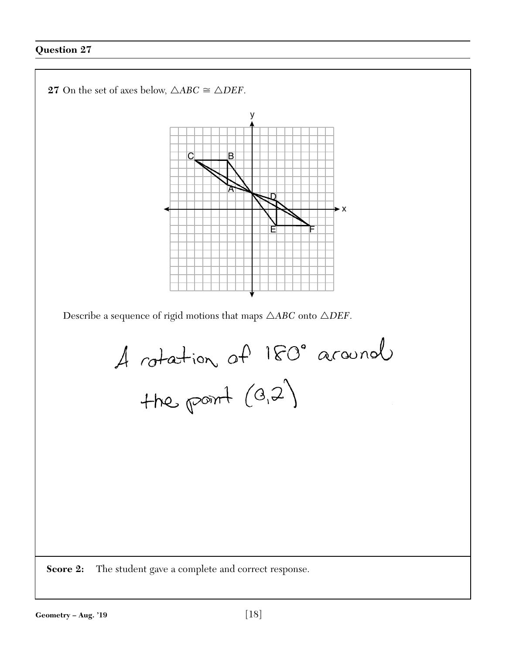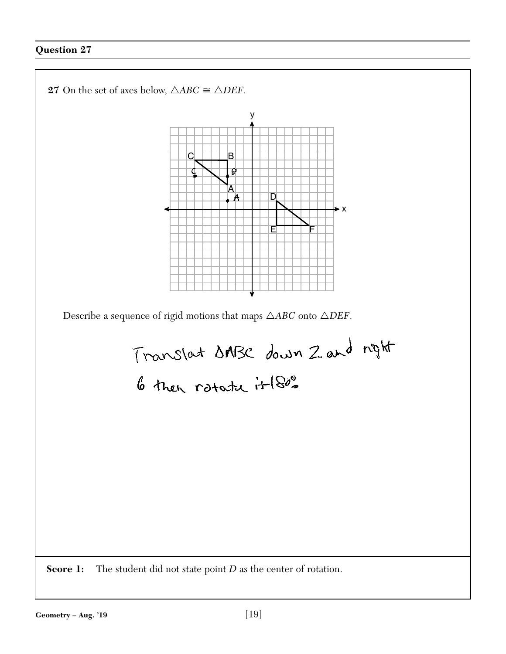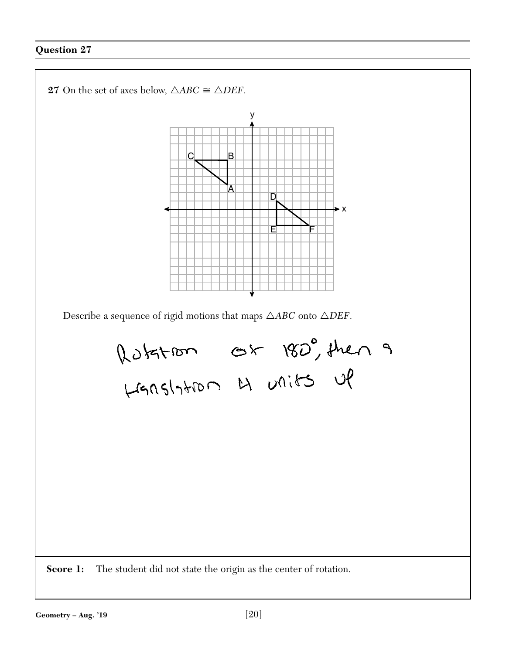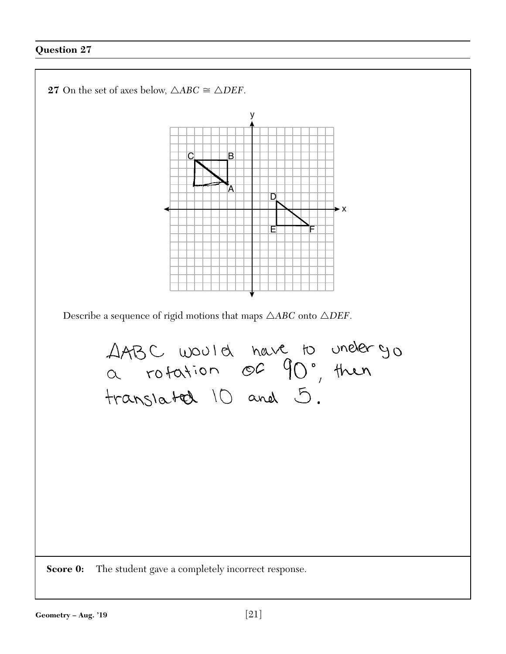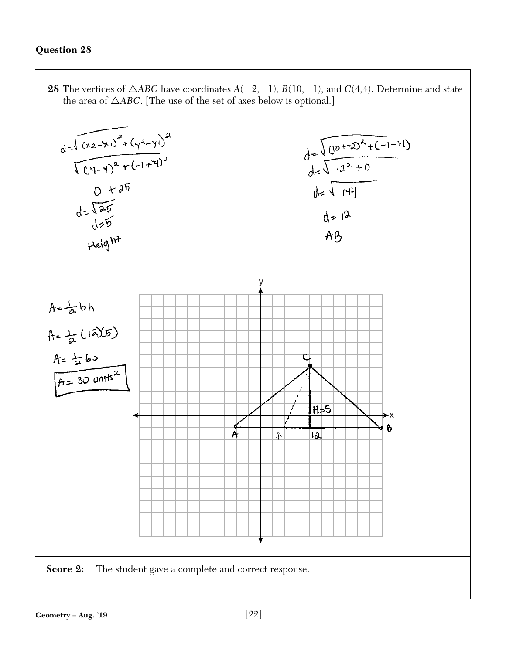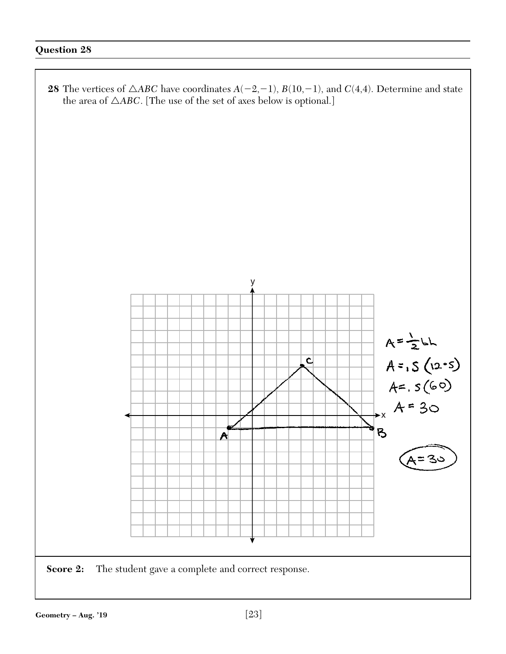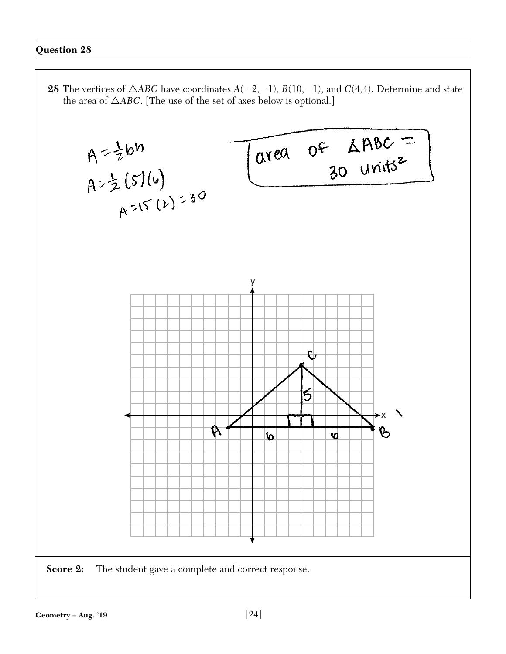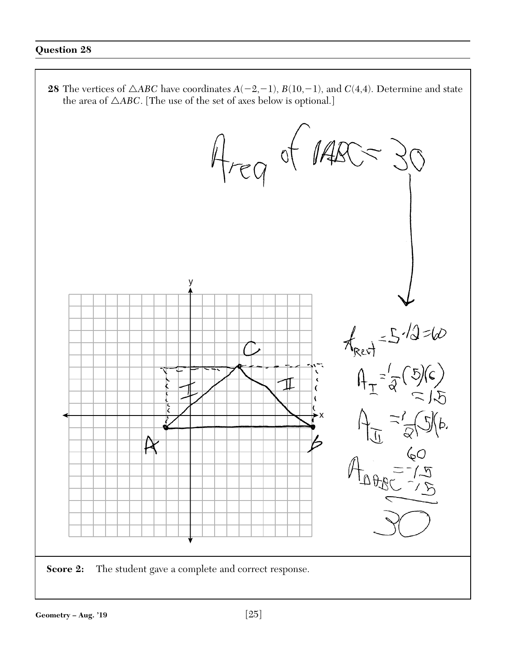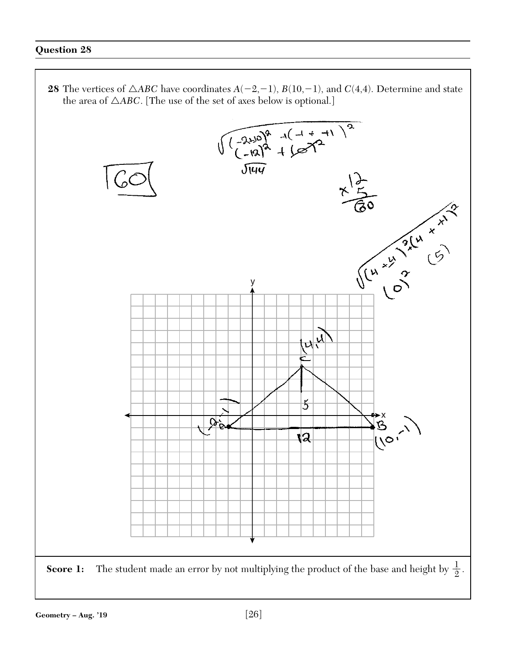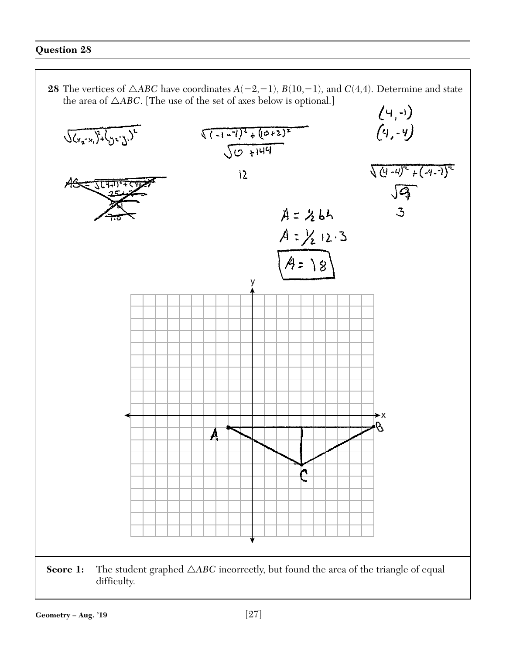

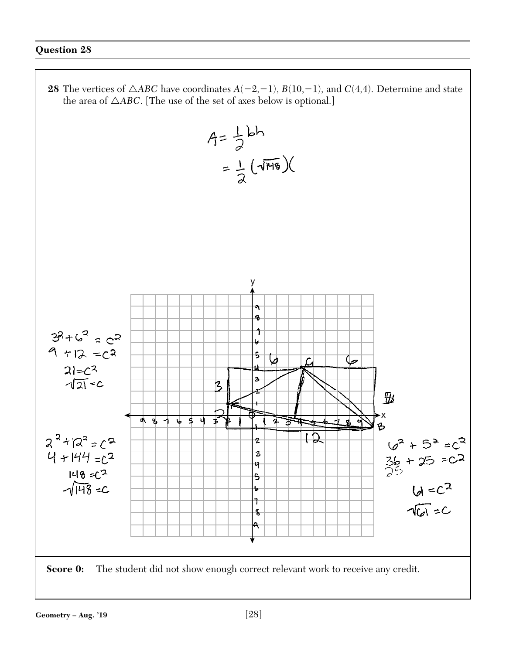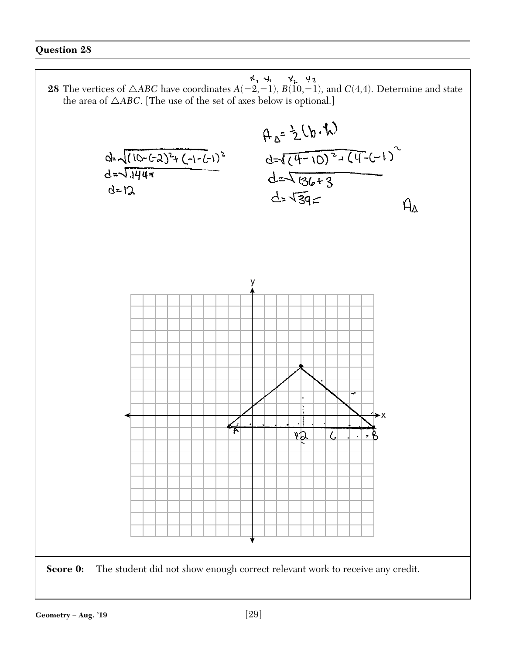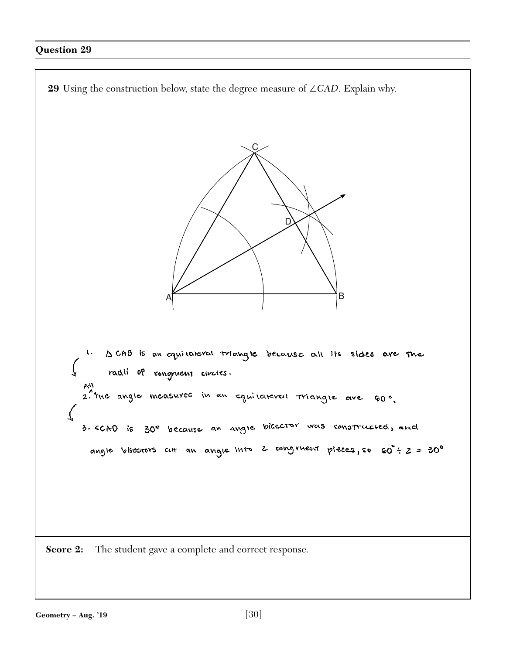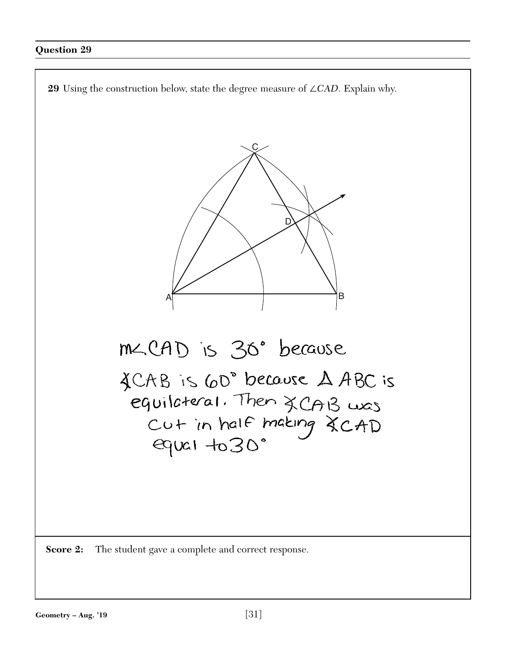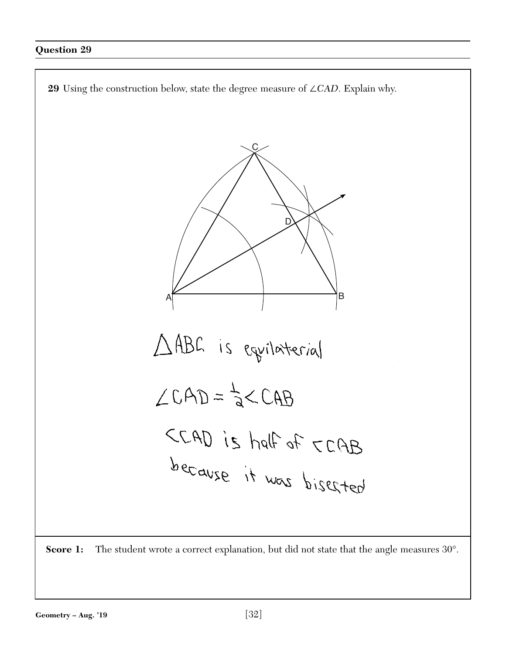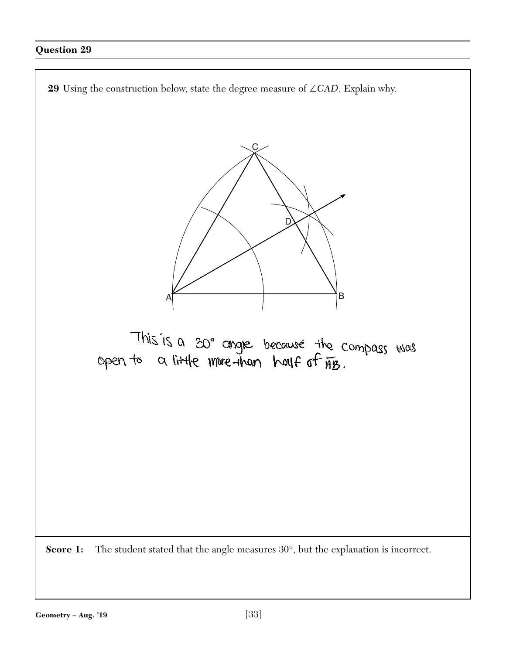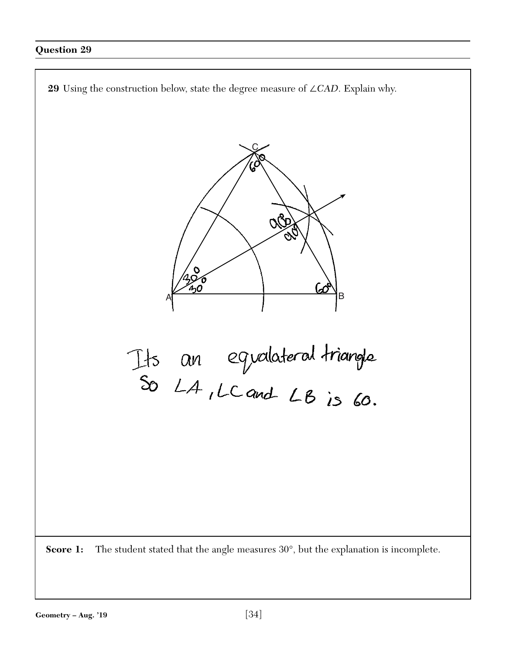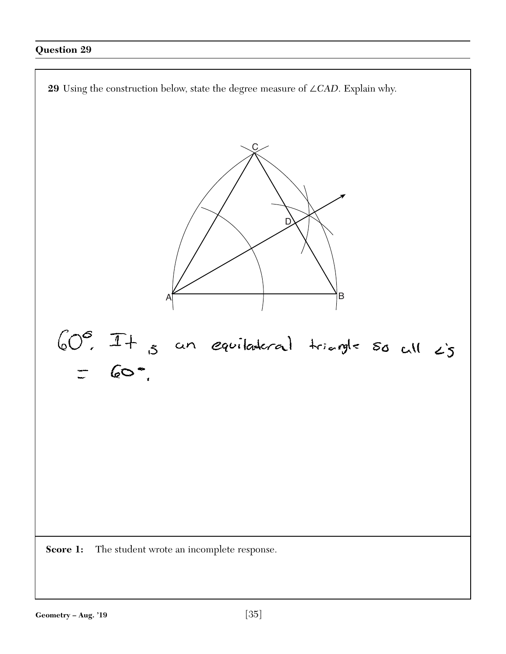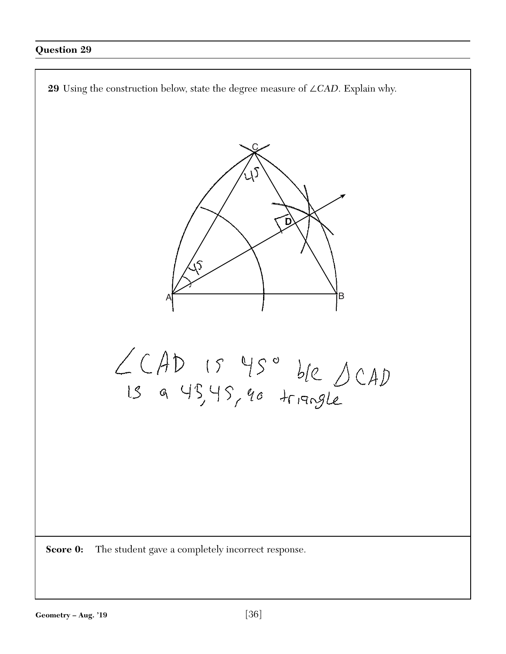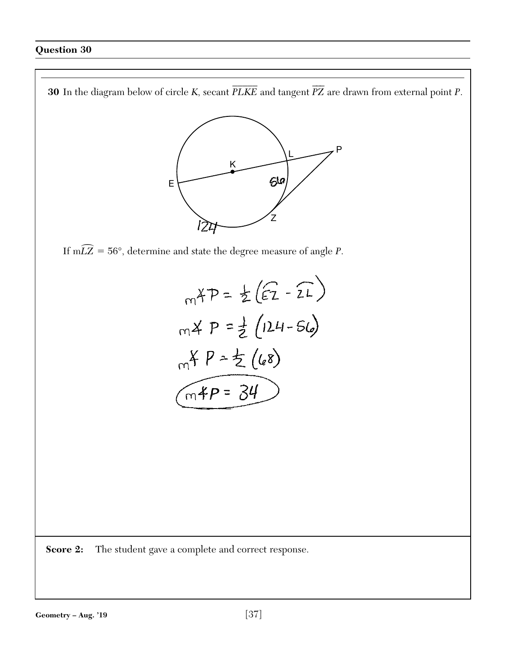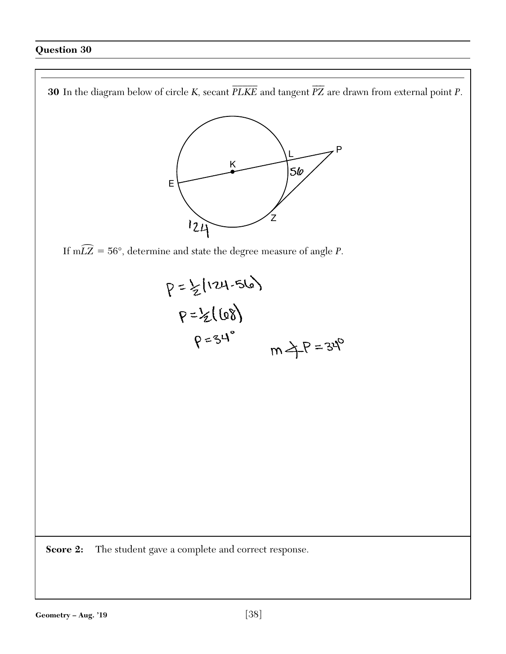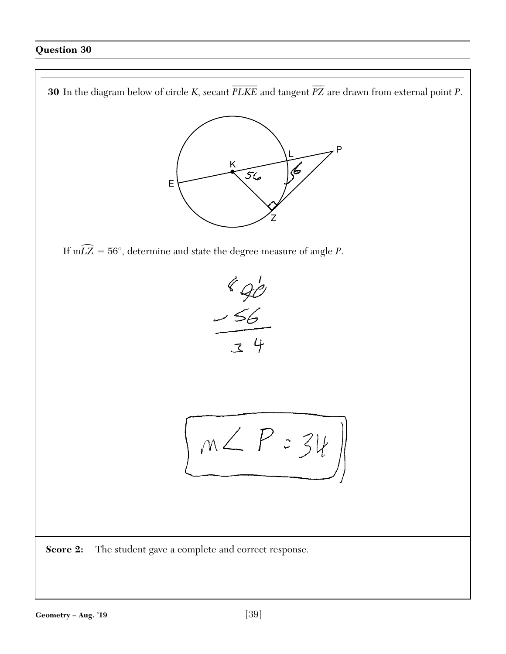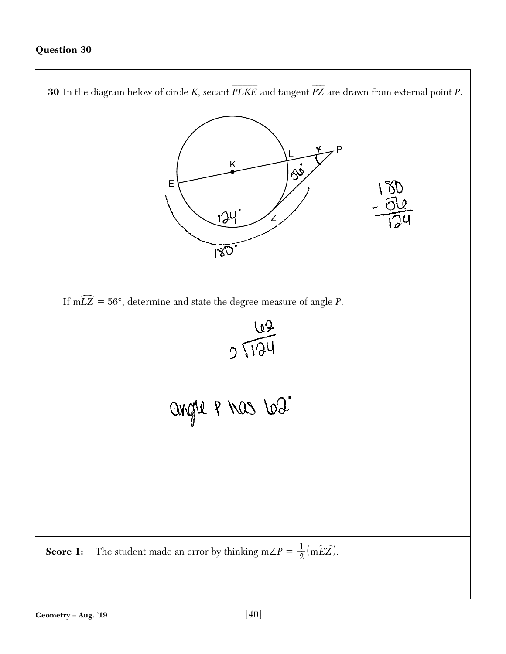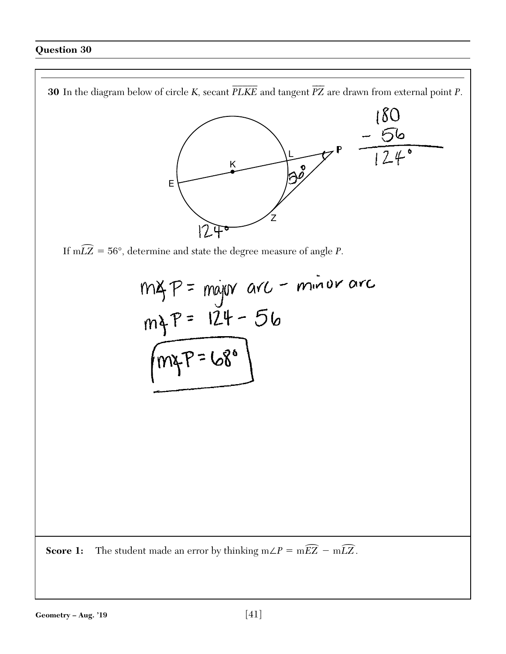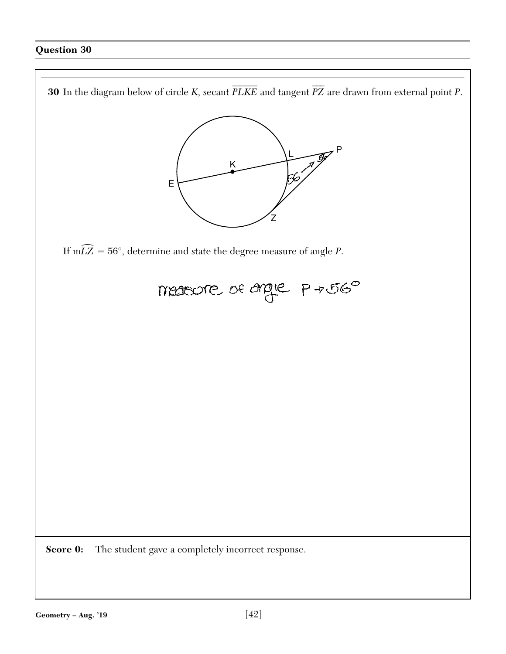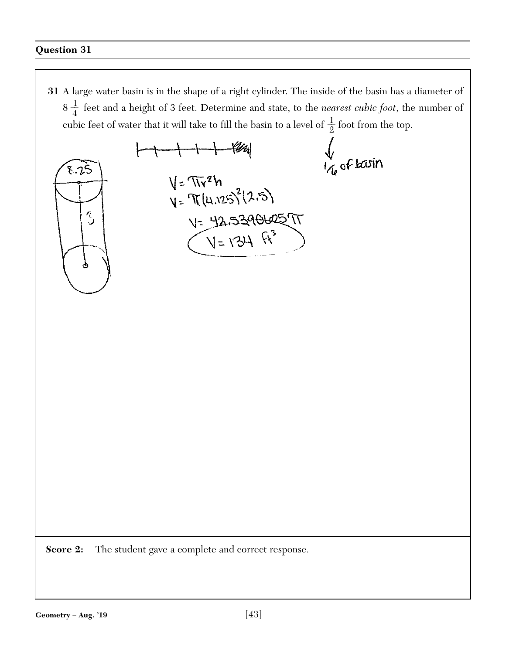$\sqrt{\frac{1}{6}}$  of basin

 $1 + 1 + 44$ 

 $V = \pi r^2 h$ <br> $V = \pi (u \cdot 25)^2 (2.5)$ 

 $V = 42.539062577$ <br>(V=134 ft<sup>3</sup>)



**Score 2:** The student gave a complete and correct response.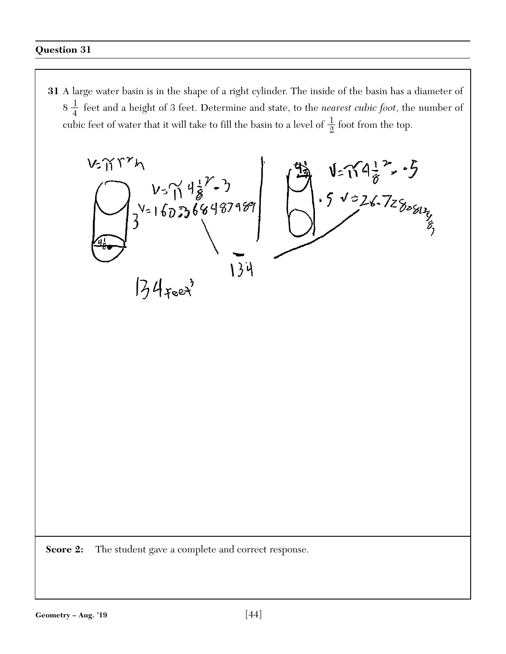$V = \sqrt{4\frac{1}{6}^{2}} \cdot 5$ <br> $\sqrt{226.7288}$  $V$ - $\gamma$ r $r$ h  $\frac{v_5}{3}$   $\frac{v_5}{3}$   $\frac{46}{3}$   $\frac{22}{3}$   $\frac{46}{3}$   $\frac{22}{3}$   $\frac{22}{3}$   $\frac{22}{3}$   $\frac{22}{3}$   $\frac{22}{3}$   $\frac{22}{3}$   $\frac{22}{3}$   $\frac{22}{3}$   $\frac{22}{3}$   $\frac{22}{3}$   $\frac{22}{3}$   $\frac{22}{3}$   $\frac{22}{3}$   $\frac{22}{3}$   $\frac{22}{3}$ 134  $74$ reet

**Score 2:** The student gave a complete and correct response.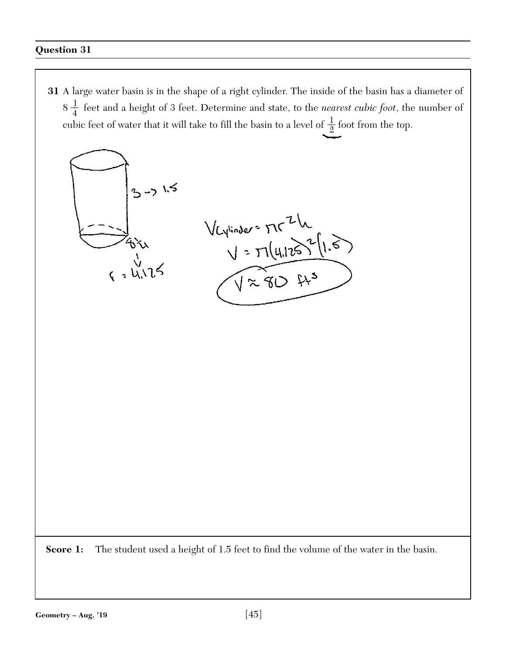

Score 1: The student used a height of 1.5 feet to find the volume of the water in the basin.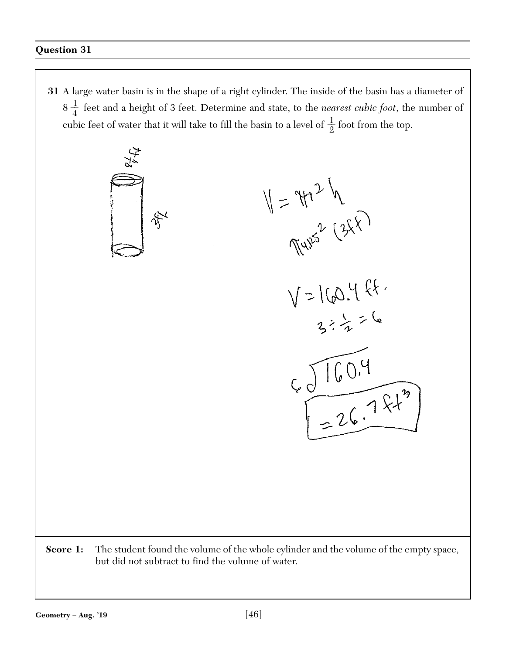$\mathcal{L}^4_{\mathcal{F}^8}$ 

 $V = \frac{4\pi^{2}h}{\pi^{4}}$ <br> $V = 160.4$  ft.

 $4019$ <br> $426.721$ 

**Score 1:** The student found the volume of the whole cylinder and the volume of the empty space, but did not subtract to find the volume of water.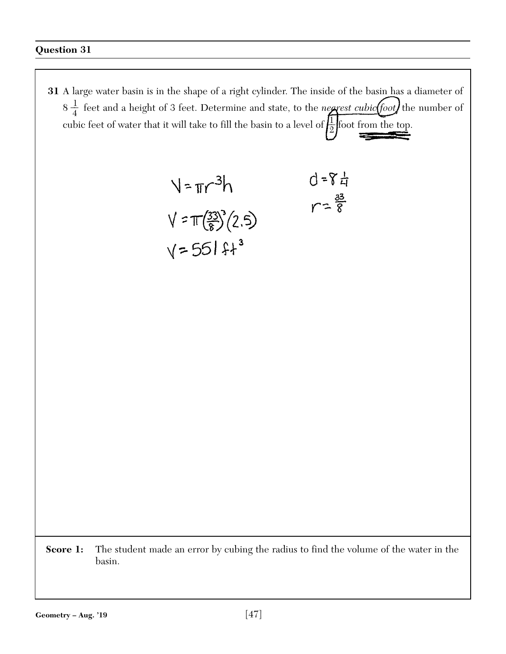$$
\sqrt{7\pi r^{3}}h
$$
  
\n
$$
d = 8\frac{1}{4}
$$
  
\n
$$
\sqrt{7\pi \left(\frac{33}{8}\right)^{3}}(2.5)
$$
  
\n
$$
\sqrt{7\pi \left(\frac{33}{8}\right)^{3}}(2.5)
$$
  
\n
$$
\sqrt{7\pi \left(\frac{33}{8}\right)^{3}}(2.5)
$$

Score 1: The student made an error by cubing the radius to find the volume of the water in the basin.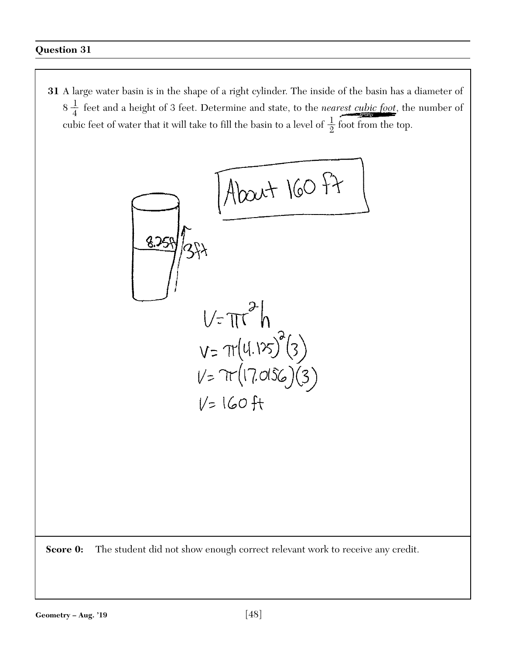$$
\frac{1}{\frac{1}{374}}\sqrt{\frac{1}{374}}\sqrt{\frac{1}{374}}
$$
\n
$$
V = \pi r^{2}h
$$
\n
$$
V = \pi(17.0156)(3)
$$
\n
$$
V = 160 \text{ ft}
$$

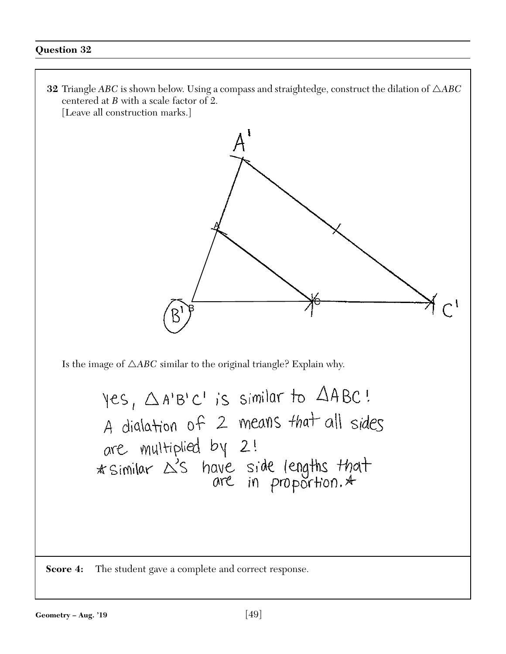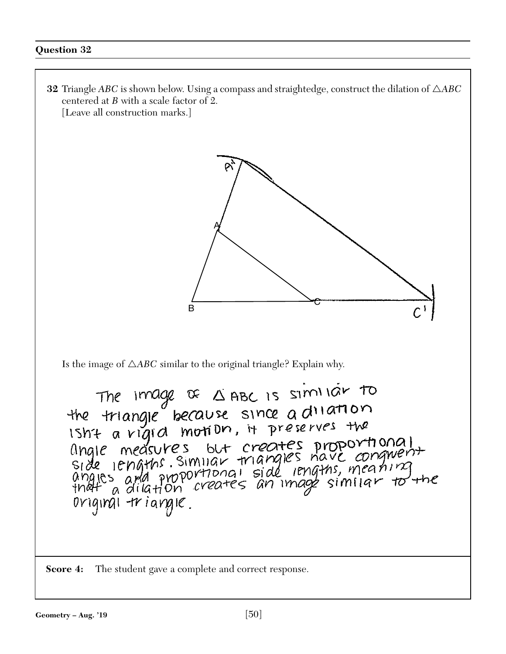**32** Triangle *ABC* is shown below. Using a compass and straightedge, construct the dilation of  $\triangle ABC$ centered at *B* with a scale factor of 2. [Leave all construction marks.] A <sup>C</sup> BIs the image of  $\triangle ABC$  similar to the original triangle? Explain why. The Image of  $\triangle$  ABC Is similar to<br>the triangle because since a dilation<br>Isht a vigid motion, it preserves the ISME a vigica motion, it precedes<br>angle measures but creates proportional<br>side lengths. Similar triangles have conguent<br>angles and proportional side lengths, meaning<br>that a dilation creates an image similar to the original triangle. **Score 4:** The student gave a complete and correct response.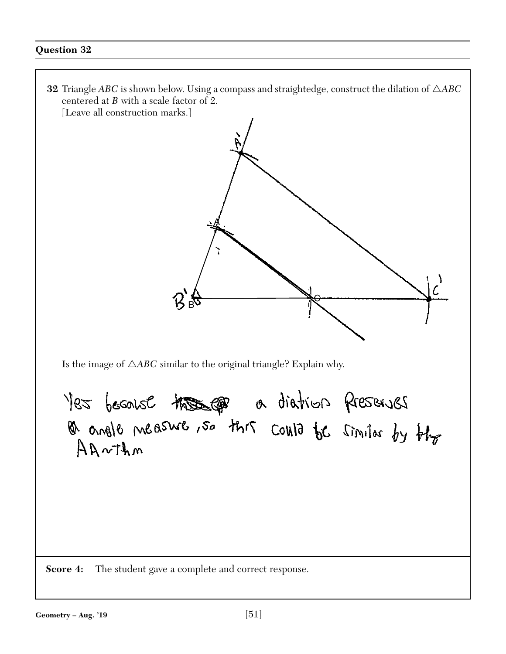**32** Triangle *ABC* is shown below. Using a compass and straightedge, construct the dilation of  $\triangle ABC$ centered at *B* with a scale factor of 2. [Leave all construction marks.] A $\frac{1}{\sqrt{2}}$  $\vec{\mathsf B}$ Is the image of  $\triangle ABC$  similar to the original triangle? Explain why. Yes because these po diation preserves  $Anorthm$ **Score 4:** The student gave a complete and correct response.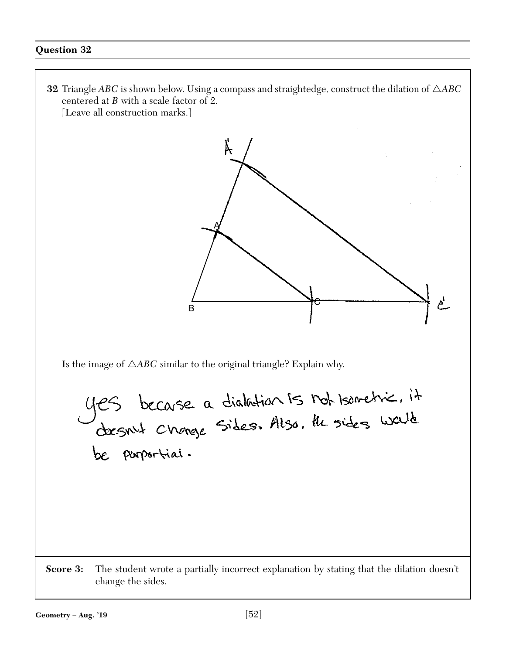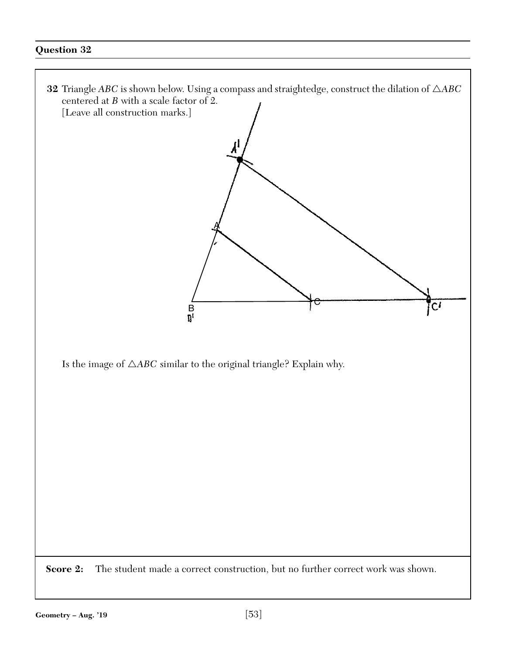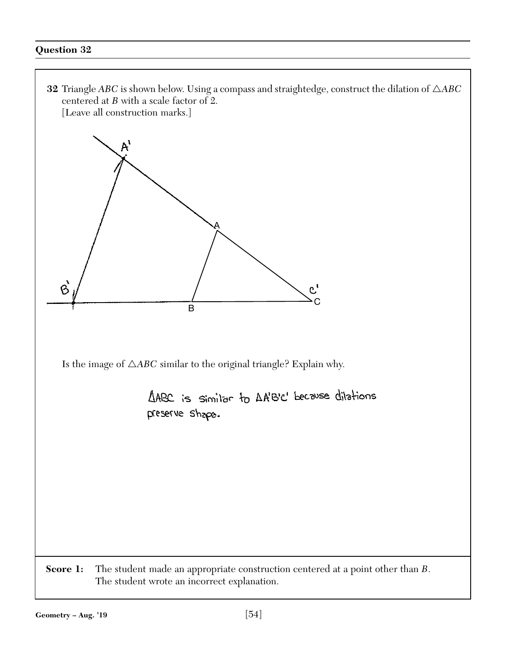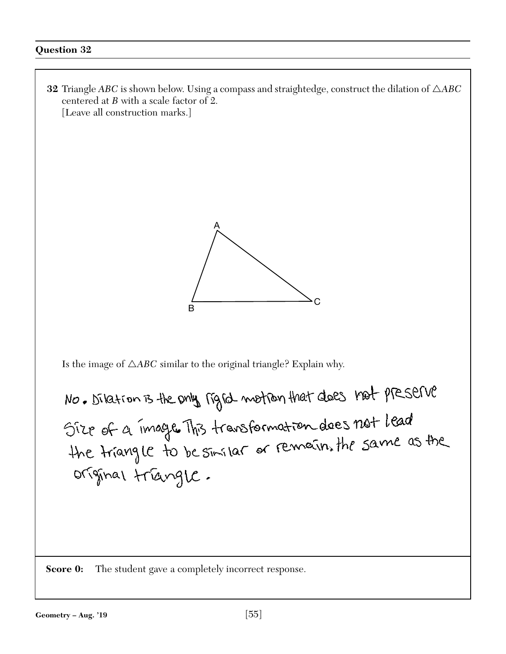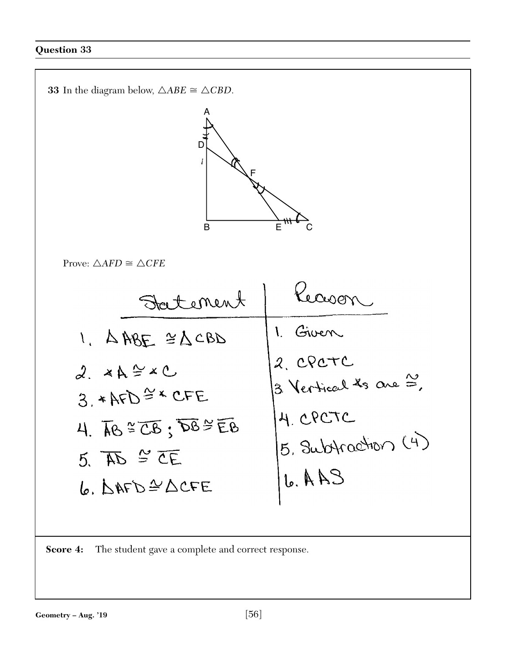

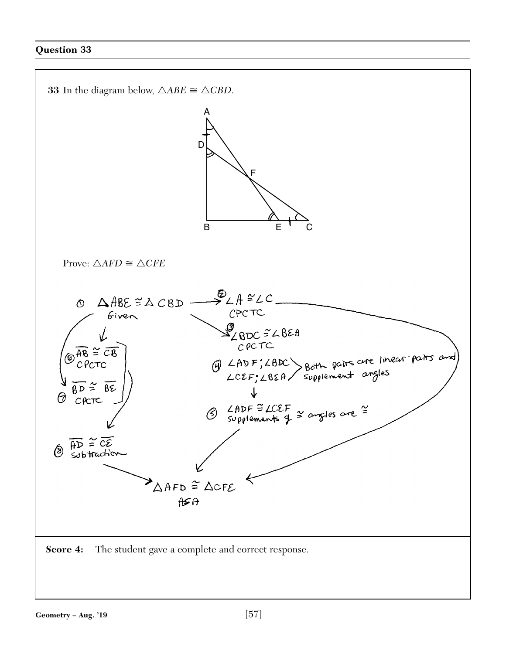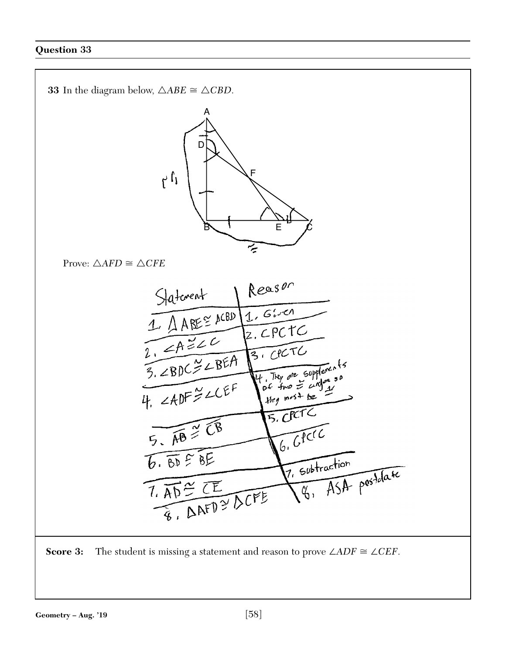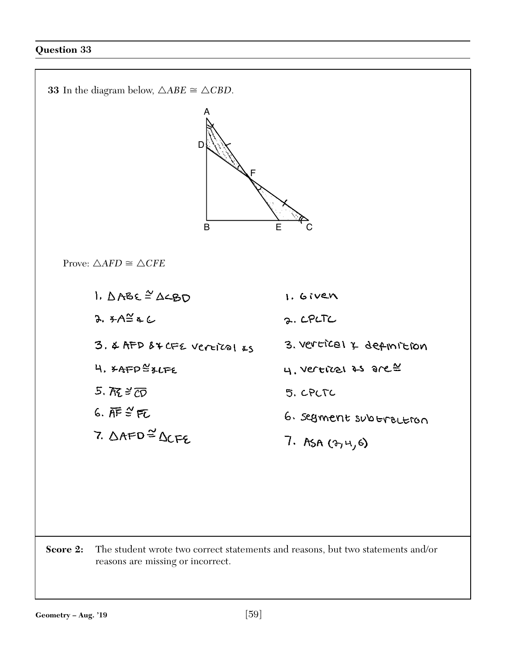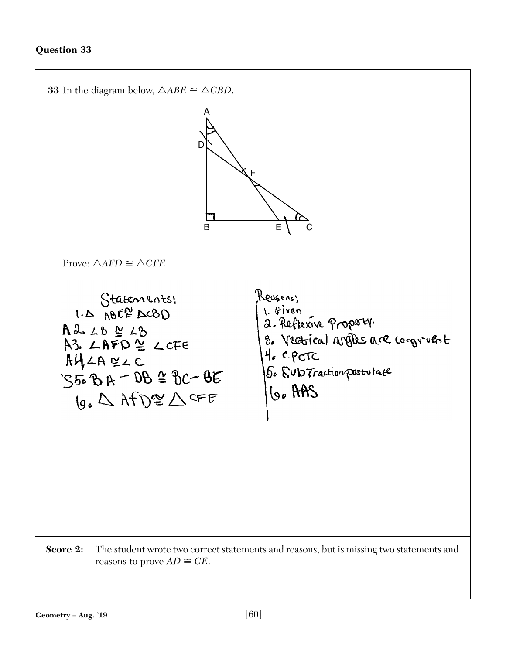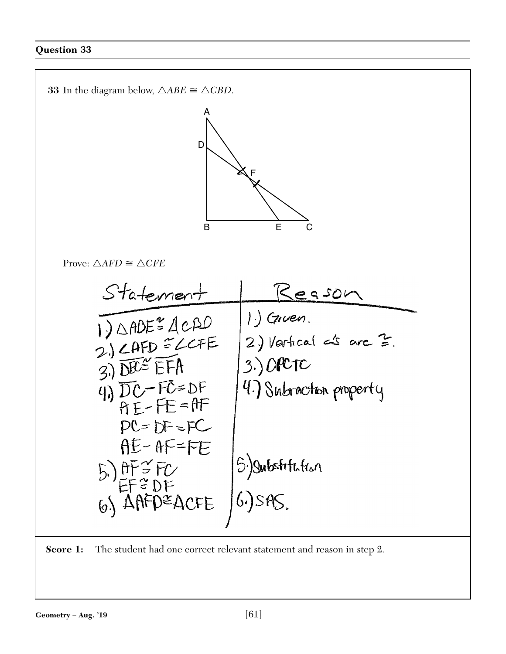

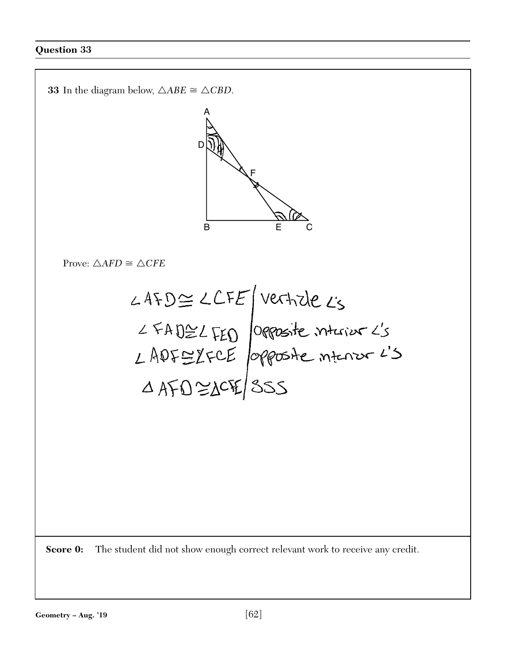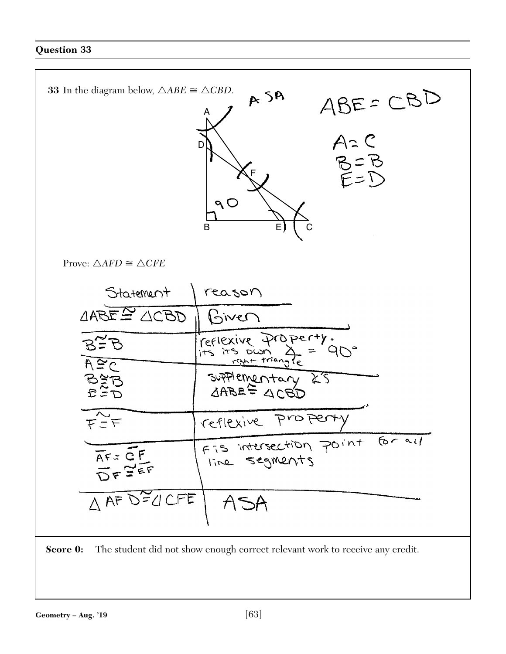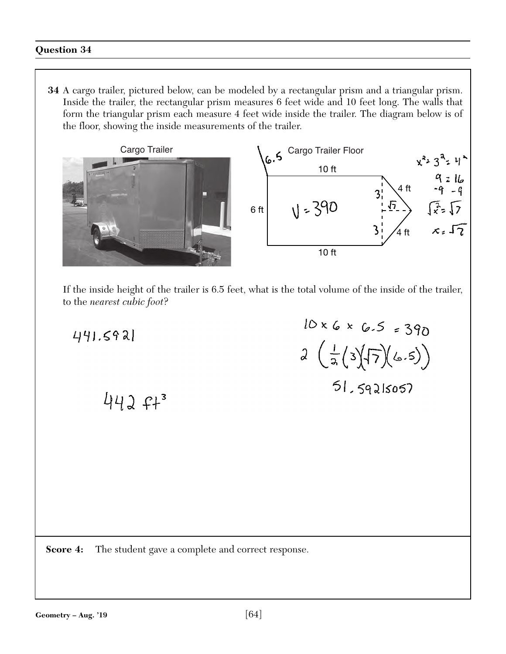**34** A cargo trailer, pictured below, can be modeled by a rectangular prism and a triangular prism. Inside the trailer, the rectangular prism measures 6 feet wide and 10 feet long. The walls that form the triangular prism each measure 4 feet wide inside the trailer. The diagram below is of the floor, showing the inside measurements of the trailer.



If the inside height of the trailer is 6.5 feet, what is the total volume of the inside of the trailer, to the *nearest cubic foot*?

 $441.592$  $442 f+3$ 

 $10 \times 6 \times 6.5 = 390$  $2\left(\frac{1}{2}(3)(7)(6.5)\right)$  $51.59215057$ 

**Score 4:** The student gave a complete and correct response.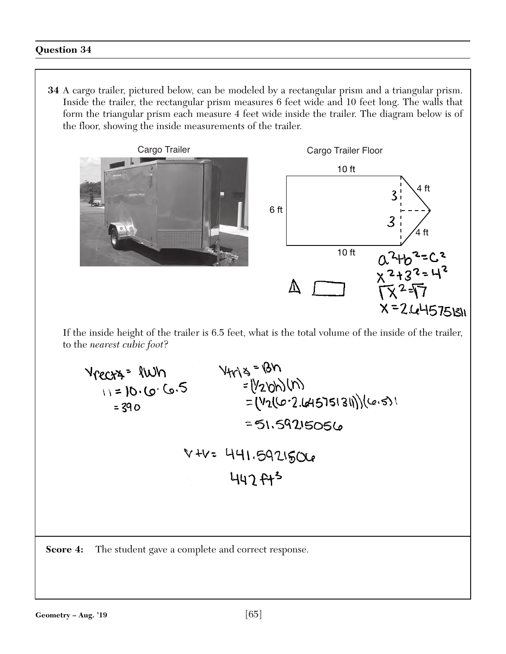**34** A cargo trailer, pictured below, can be modeled by a rectangular prism and a triangular prism. Inside the trailer, the rectangular prism measures 6 feet wide and 10 feet long. The walls that form the triangular prism each measure 4 feet wide inside the trailer. The diagram below is of the floor, showing the inside measurements of the trailer.



V +V = 441.5921506 447  $f+5$ 

**Score 4:** The student gave a complete and correct response.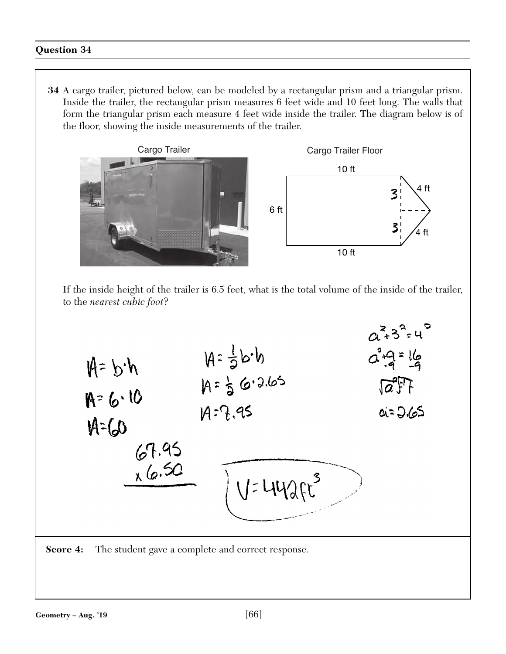**34** A cargo trailer, pictured below, can be modeled by a rectangular prism and a triangular prism. Inside the trailer, the rectangular prism measures 6 feet wide and 10 feet long. The walls that form the triangular prism each measure 4 feet wide inside the trailer. The diagram below is of the floor, showing the inside measurements of the trailer.





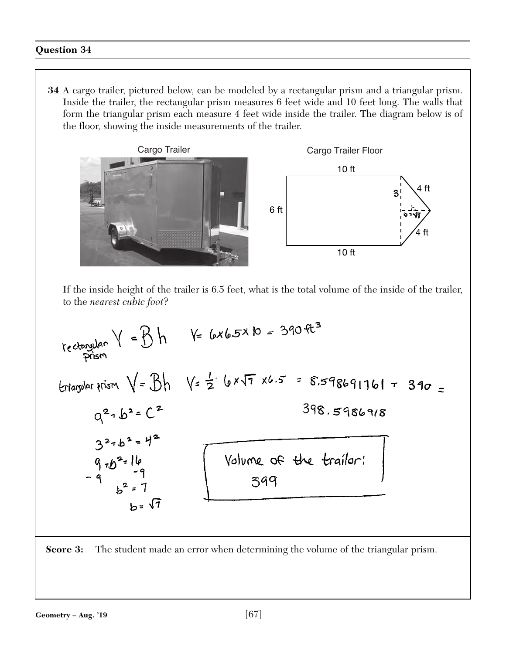**34** A cargo trailer, pictured below, can be modeled by a rectangular prism and a triangular prism. Inside the trailer, the rectangular prism measures 6 feet wide and 10 feet long. The walls that form the triangular prism each measure 4 feet wide inside the trailer. The diagram below is of the floor, showing the inside measurements of the trailer.



$$
y_{e}
$$
  $\frac{1}{2}$   $\frac{1}{2}$   $\frac{1}{2}$   $\frac{1}{2}$   $\frac{1}{2}$   $\frac{1}{2}$   $\frac{1}{2}$   $\frac{1}{2}$   $\frac{1}{2}$   $\frac{1}{2}$   $\frac{1}{2}$   $\frac{1}{2}$   $\frac{1}{2}$   $\frac{1}{2}$   $\frac{1}{2}$   $\frac{1}{2}$   $\frac{1}{2}$   $\frac{1}{2}$   $\frac{1}{2}$   $\frac{1}{2}$   $\frac{1}{2}$   $\frac{1}{2}$   $\frac{1}{2}$   $\frac{1}{2}$   $\frac{1}{2}$   $\frac{1}{2}$   $\frac{1}{2}$   $\frac{1}{2}$   $\frac{1}{2}$   $\frac{1}{2}$   $\frac{1}{2}$   $\frac{1}{2}$   $\frac{1}{2}$   $\frac{1}{2}$   $\frac{1}{2}$   $\frac{1}{2}$   $\frac{1}{2}$   $\frac{1}{2}$   $\frac{1}{2}$   $\frac{1}{2}$   $\frac{1}{2}$   $\frac{1}{2}$   $\frac{1}{2}$   $\frac{1}{2}$   $\frac{1}{2}$   $\frac{1}{2}$   $\frac{1}{2}$   $\frac{1}{2}$   $\frac{1}{2}$   $\frac{1}{2}$   $\frac{1}{2}$   $\frac{1}{2}$   $\frac{1}{2}$   $\frac{1}{2}$   $\frac{1}{2}$   $\frac{1}{2}$   $\frac{1}{2}$   $\frac{1}{2}$   $\frac{1}{2}$   $\frac{1}{2}$   $\frac{1}{2}$   $\frac{1}{2}$   $\frac{1}{2}$   $\frac{1}{2}$   $\frac{1}{2}$   $\frac{1}{2}$   $\frac{1}{2}$   $\frac{1}{2}$   $\frac{$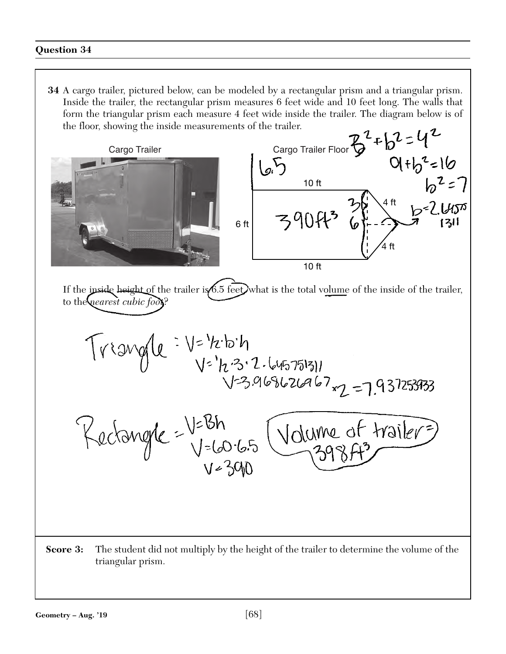**34** A cargo trailer, pictured below, can be modeled by a rectangular prism and a triangular prism. Inside the trailer, the rectangular prism measures 6 feet wide and 10 feet long. The walls that form the triangular prism each measure 4 feet wide inside the trailer. The diagram below is of the floor, showing the inside measurements of the trailer.

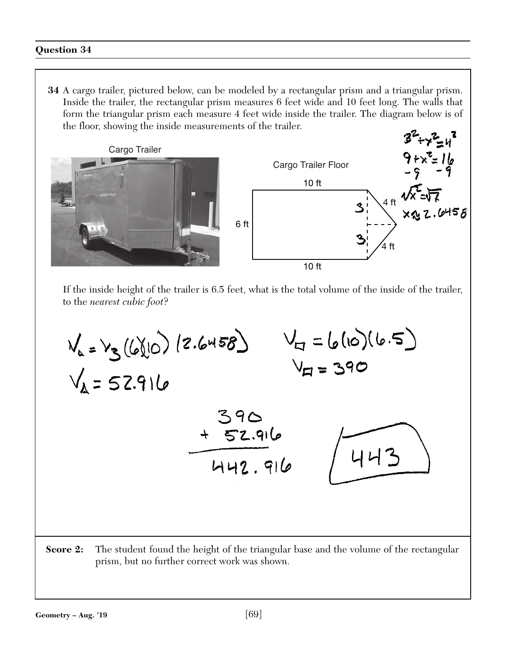**34** A cargo trailer, pictured below, can be modeled by a rectangular prism and a triangular prism. Inside the trailer, the rectangular prism measures 6 feet wide and 10 feet long. The walls that form the triangular prism each measure 4 feet wide inside the trailer. The diagram below is of the floor, showing the inside measurements of the trailer.



If the inside height of the trailer is 6.5 feet, what is the total volume of the inside of the trailer, to the *nearest cubic foot*?



**Score 2:** The student found the height of the triangular base and the volume of the rectangular prism, but no further correct work was shown.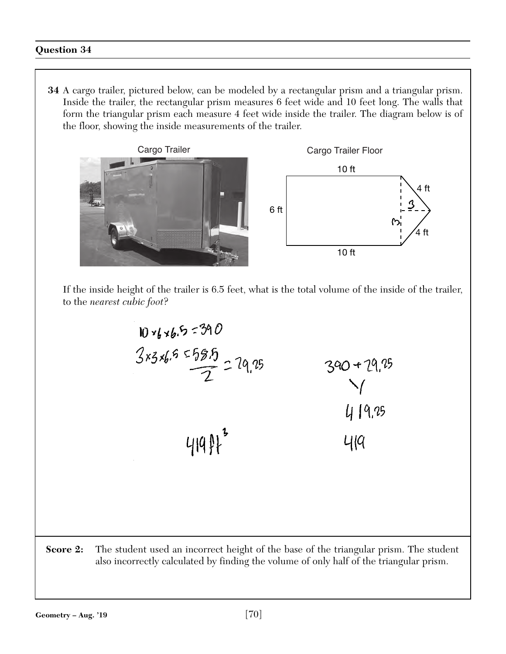**34** A cargo trailer, pictured below, can be modeled by a rectangular prism and a triangular prism. Inside the trailer, the rectangular prism measures 6 feet wide and 10 feet long. The walls that form the triangular prism each measure 4 feet wide inside the trailer. The diagram below is of the floor, showing the inside measurements of the trailer.



If the inside height of the trailer is 6.5 feet, what is the total volume of the inside of the trailer, to the *nearest cubic foot*?



**Score 2:** The student used an incorrect height of the base of the triangular prism. The student also incorrectly calculated by finding the volume of only half of the triangular prism.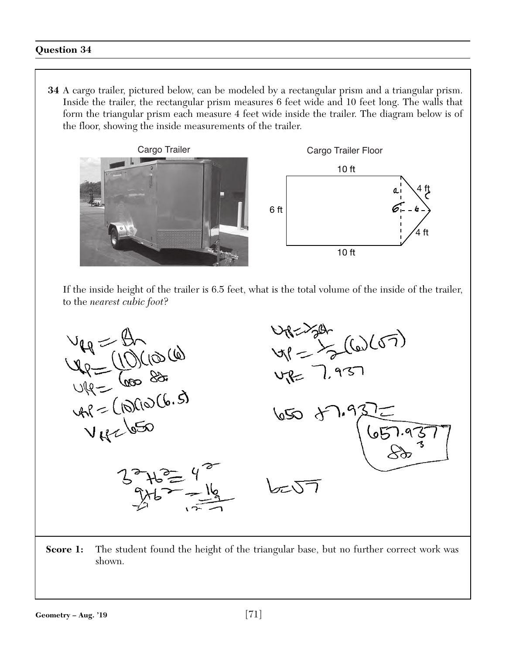**34** A cargo trailer, pictured below, can be modeled by a rectangular prism and a triangular prism. Inside the trailer, the rectangular prism measures 6 feet wide and 10 feet long. The walls that form the triangular prism each measure 4 feet wide inside the trailer. The diagram below is of the floor, showing the inside measurements of the trailer.



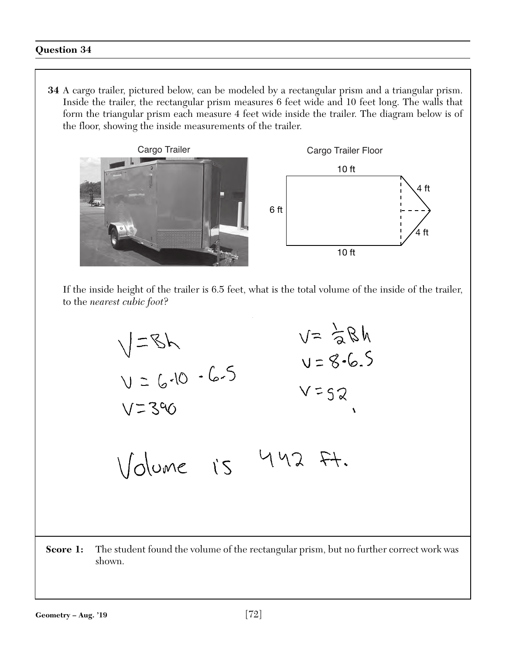**34** A cargo trailer, pictured below, can be modeled by a rectangular prism and a triangular prism. Inside the trailer, the rectangular prism measures 6 feet wide and 10 feet long. The walls that form the triangular prism each measure 4 feet wide inside the trailer. The diagram below is of the floor, showing the inside measurements of the trailer.



$$
\sqrt{=8}
$$
  
\n
$$
\sqrt{=8}
$$
  
\n
$$
\sqrt{=8}
$$
  
\n
$$
\sqrt{=3}
$$
  
\n
$$
\sqrt{=3}
$$
  
\n
$$
\sqrt{2}
$$
  
\n
$$
\sqrt{=3}
$$
  
\n
$$
\sqrt{=3}
$$
  
\n
$$
\sqrt{=3}
$$
  
\n
$$
\sqrt{=3}
$$
  
\n
$$
\sqrt{=3}
$$
  
\n
$$
\sqrt{=3}
$$
  
\n
$$
\sqrt{=3}
$$
  
\n
$$
\sqrt{=3}
$$
  
\n
$$
\sqrt{=3}
$$
  
\n
$$
\sqrt{=3}
$$
  
\n
$$
\sqrt{=3}
$$
  
\n
$$
\sqrt{=3}
$$
  
\n
$$
\sqrt{=3}
$$
  
\n
$$
\sqrt{=3}
$$
  
\n
$$
\sqrt{=3}
$$
  
\n
$$
\sqrt{=3}
$$
  
\n
$$
\sqrt{=3}
$$
  
\n
$$
\sqrt{=3}
$$
  
\n
$$
\sqrt{=3}
$$
  
\n
$$
\sqrt{=3}
$$
  
\n
$$
\sqrt{=3}
$$
  
\n
$$
\sqrt{=3}
$$
  
\n
$$
\sqrt{=3}
$$
  
\n
$$
\sqrt{=3}
$$
  
\n
$$
\sqrt{=3}
$$
  
\n
$$
\sqrt{=3}
$$
  
\n
$$
\sqrt{=3}
$$
  
\n
$$
\sqrt{=3}
$$
  
\n
$$
\sqrt{=3}
$$
  
\n
$$
\sqrt{=3}
$$
  
\n
$$
\sqrt{=3}
$$
  
\n
$$
\sqrt{=3}
$$
  
\n
$$
\sqrt{=3}
$$
  
\n
$$
\sqrt{=3}
$$
  
\n
$$
\sqrt{=3}
$$
  
\n
$$
\sqrt{=3}
$$
  
\n
$$
\sqrt{=3}
$$
  
\n
$$
\sqrt{=3}
$$
  
\n
$$
\sqrt{=3}
$$
  
\n
$$
\sqrt{=3}
$$
  
\n
$$
\sqrt{=3}
$$
  
\n
$$
\sqrt{=3}
$$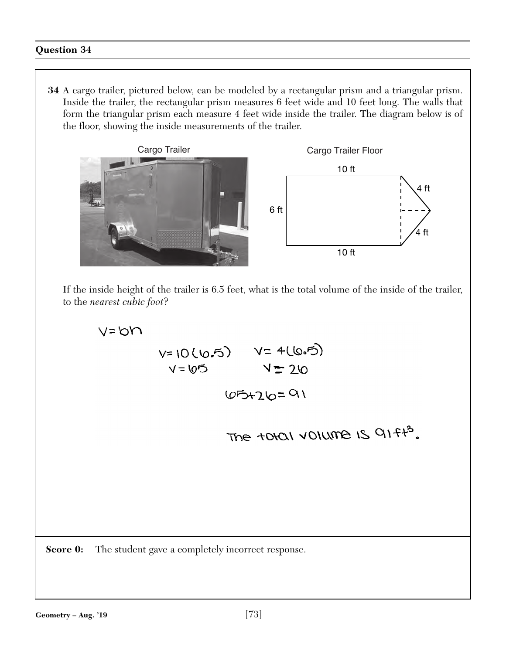**34** A cargo trailer, pictured below, can be modeled by a rectangular prism and a triangular prism. Inside the trailer, the rectangular prism measures 6 feet wide and 10 feet long. The walls that form the triangular prism each measure 4 feet wide inside the trailer. The diagram below is of the floor, showing the inside measurements of the trailer.



If the inside height of the trailer is 6.5 feet, what is the total volume of the inside of the trailer, to the *nearest cubic foot*?

 $65 + 26 = 91$ 

 $V = 65$   $V = 26$ 

 $V = bN$  $V = 10 (6.5)$   $V = 4(6.5)$ 

**Score 0:** The student gave a completely incorrect response.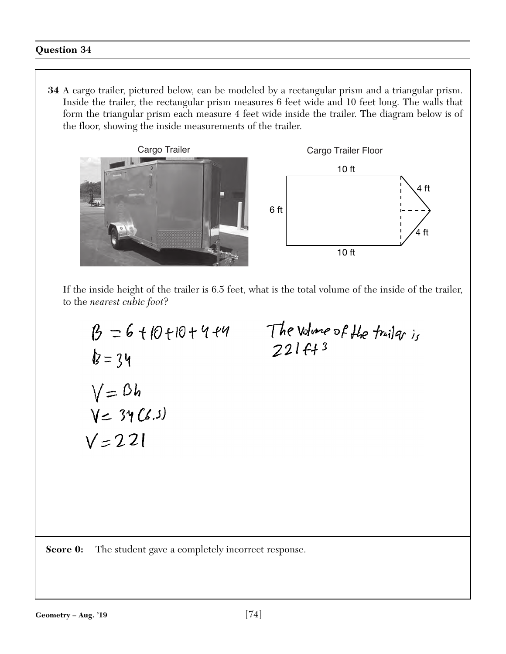**34** A cargo trailer, pictured below, can be modeled by a rectangular prism and a triangular prism. Inside the trailer, the rectangular prism measures 6 feet wide and 10 feet long. The walls that form the triangular prism each measure 4 feet wide inside the trailer. The diagram below is of the floor, showing the inside measurements of the trailer.



If the inside height of the trailer is 6.5 feet, what is the total volume of the inside of the trailer, to the *nearest cubic foot*?

$$
\begin{aligned} \beta &= 6 + |0 + 10 + 4 + 4 \\ \not{b} &= 34 \\ \sqrt{=} 34 \\ \sqrt{=} 34 \text{ (6.3)} \\ \sqrt{=} 221 \end{aligned}
$$

The volume of the trailer is<br>221 ft 3

**Score 0:** The student gave a completely incorrect response.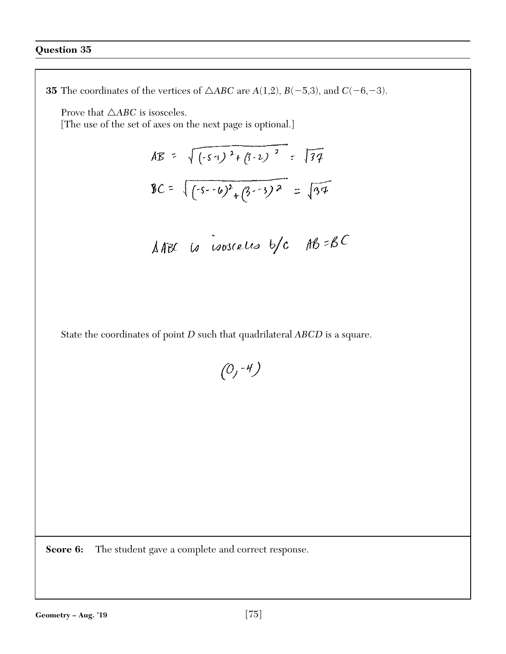**35** The coordinates of the vertices of  $\triangle ABC$  are  $A(1,2)$ ,  $B(-5,3)$ , and  $C(-6,-3)$ . Prove that  $\triangle ABC$  is isosceles. [The use of the set of axes on the next page is optional.]  $AB = \sqrt{(-51)^2 + (3-2)^2} = \sqrt{34}$  $BC = \sqrt{(5-6)^2 + (3-3)^2} = \sqrt{34}$ AABC to isosceles  $b/c$  AB=BC State the coordinates of point *D* such that quadrilateral *ABCD* is a square.  $(0, -4)$ **Score 6:** The student gave a complete and correct response.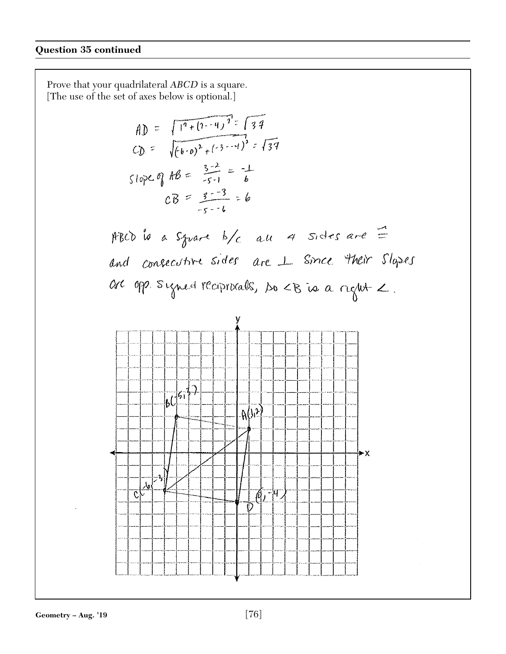Prove that your quadrilateral *ABCD* is a square. [The use of the set of axes below is optional.]

\n
$$
f(x) = \frac{\sqrt{1^2 + (1 - 4)^2} = \sqrt{34}}{(\sqrt{6})^2 + (\sqrt{3} - 4)^2} = \sqrt{34}
$$
\n

\n\n $f(x) = \sqrt{(4 \cdot 0)^2 + (\sqrt{3} - 4)^2} = \sqrt{34}$ \n

\n\n $f(x) = \frac{3 - 2}{5 - 1} = \frac{1}{6}$ \n

\n\n $f(x) = \frac{3 - 2}{5 - 1} = 6$ \n

\n\n $f(x) = \frac{3 - 2}{5 - 1} = 6$ \n

\n\n $f(x) = \frac{3 - 2}{5 - 1} = 6$ \n

\n\n $f(x) = \frac{3 - 2}{5 - 1} = 6$ \n

\n\n $f(x) = \frac{3 - 2}{5 - 1} = 6$ \n

\n\n $f(x) = \frac{3 - 2}{5 - 1} = 6$ \n

\n\n $f(x) = \frac{3 - 2}{5 - 1} = \frac{1}{6}$ \n

\n\n $f(x) = \frac{3 - 2}{5 - 1} = \frac{1}{6}$ \n

\n\n $f(x) = \frac{3 - 2}{5 - 1} = \frac{1}{6}$ \n

\n\n $f(x) = \frac{3 - 2}{5 - 1} = \frac{1}{6}$ \n

\n\n $f(x) = \frac{3 - 2}{5 - 1} = \frac{1}{6}$ \n

\n\n $f(x) = \frac{3 - 2}{5 - 1} = \frac{1}{6}$ \n

\n\n $f(x) = \frac{3 - 2}{5 - 1} = \frac{1}{6}$ \n

\n\n $f(x) = \frac{3 - 2}{5 - 1} = \frac{1}{6}$ \n

\n\n $f(x) = \frac{3 - 2}{5 - 1} = \frac{1}{6}$ \n

\n\n $f(x) = \frac{3 - 2}{5 - 1} = \frac{1}{6}$ \n

\n\n $f(x) = \frac{3 - 2}{5 - 1} = \frac{1}{6}$ \n

\n\n $f(x) = \frac$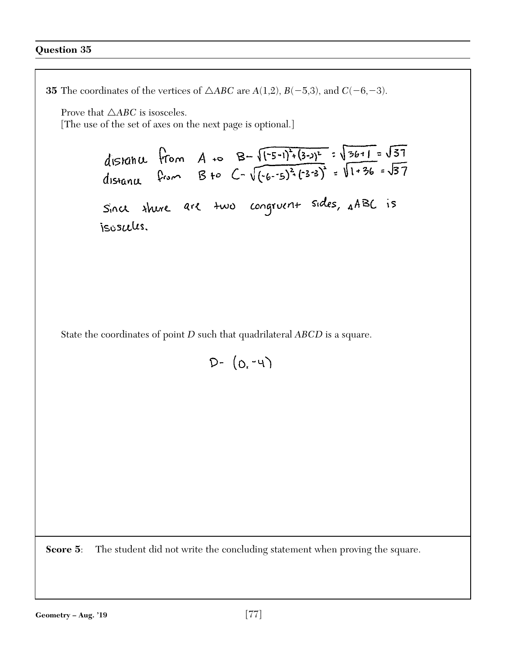**35** The coordinates of the vertices of  $\triangle ABC$  are  $A(1,2)$ ,  $B(-5,3)$ , and  $C(-6,-3)$ . Prove that  $\triangle ABC$  is isosceles. [The use of the set of axes on the next page is optional.] distance from A to  $B=\sqrt{(-5-1)^2+(3-3)^2}$  =  $\sqrt{36+1} = \sqrt{37}$ <br>distance from B to  $C=\sqrt{(-6-5)^2+(3-3)^2} = \sqrt{1+36} = \sqrt{37}$ Since shere are two congruent sides, AABC is isosules. State the coordinates of point *D* such that quadrilateral *ABCD* is a square.  $D - (0, -4)$ **Score 5:** The student did not write the concluding statement when proving the square.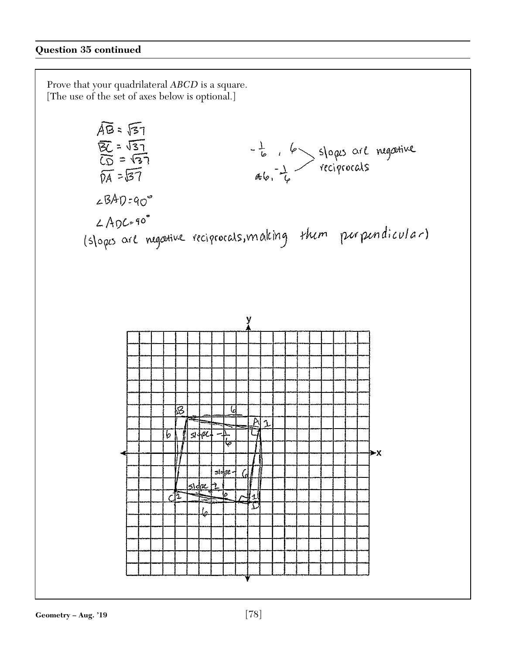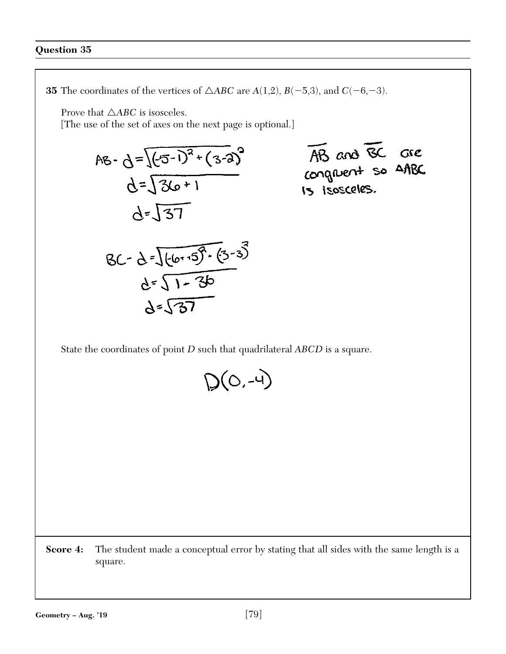**35** The coordinates of the vertices of  $\triangle ABC$  are  $A(1,2)$ ,  $B(-5,3)$ , and  $C(-6,-3)$ . Prove that  $\triangle ABC$  is isosceles. [The use of the set of axes on the next page is optional.] AB and BC are<br>conquent so AABC  $AB - d = \sqrt{(5-i)^2 + (3-i)^2}$  $d=\sqrt{36+1}$  $d = \sqrt{37}$  $BC - d = \sqrt{(6.15)^2 \cdot (3.3)^2}$  $d=\sqrt{1-3b}$  $d = \sqrt{37}$ State the coordinates of point *D* such that quadrilateral *ABCD* is a square.  $D(O,-4)$ **Score 4:** The student made a conceptual error by stating that all sides with the same length is a square.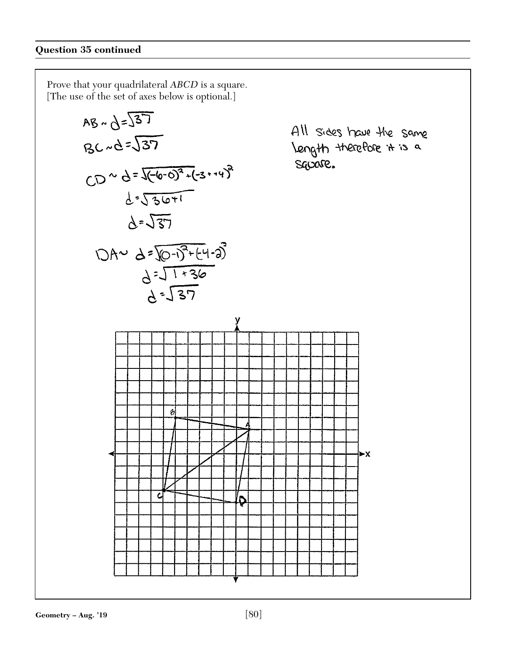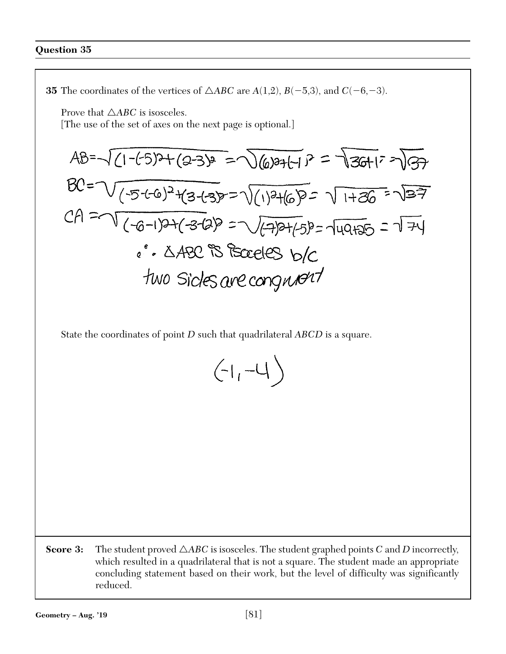**35** The coordinates of the vertices of  $\triangle ABC$  are  $A(1,2)$ ,  $B(-5,3)$ , and  $C(-6,-3)$ . Prove that  $\triangle ABC$  is isosceles. [The use of the set of axes on the next page is optional.]  $AB=\sqrt{(1-(-5))^{2}+(2-3)}^{2} = \sqrt{(6)}^{2}+1$  $P=\sqrt{36+1}^{2}$  $BC = \sqrt{(5-(6)^2+(3+3)} = \sqrt{(1)^2+(6)^2} = \sqrt{1+36} = \sqrt{37}$  $CA = \sqrt{(-6-1)2+(3-12)} = \sqrt{(7+1)2+(5)} = \sqrt{140+15} = \sqrt{7+1}$ . ABC is Boardes b/c two sides are congribed

State the coordinates of point *D* such that quadrilateral *ABCD* is a square.

| $\sqrt{2}$ |  |
|------------|--|
|------------|--|

**Score 3:** The student proved  $\triangle ABC$  is isosceles. The student graphed points *C* and *D* incorrectly, which resulted in a quadrilateral that is not a square. The student made an appropriate concluding statement based on their work, but the level of difficulty was significantly reduced.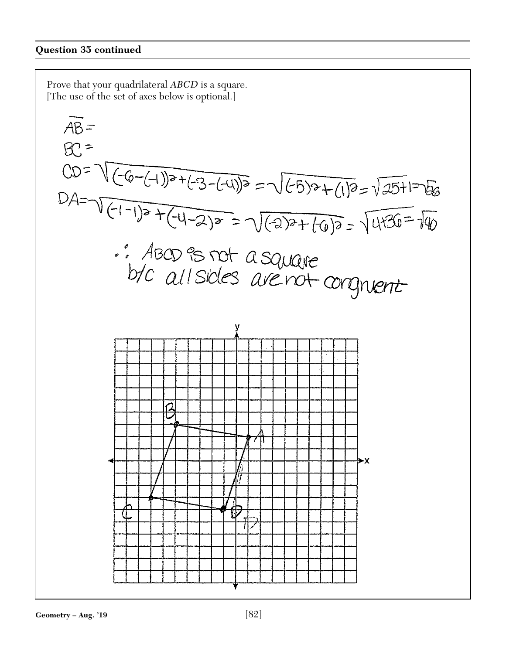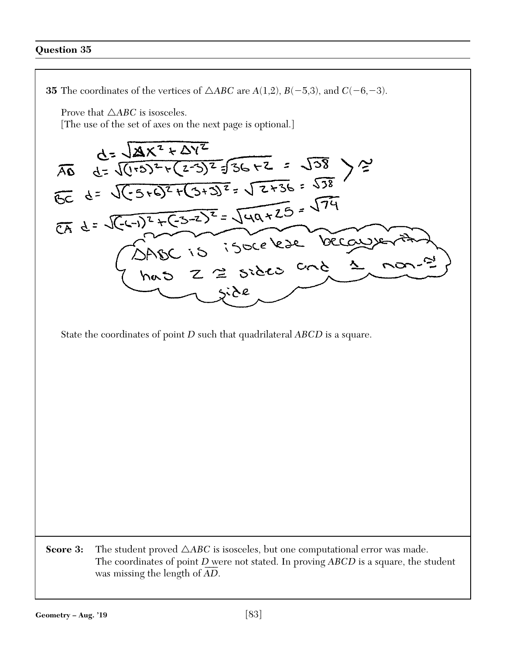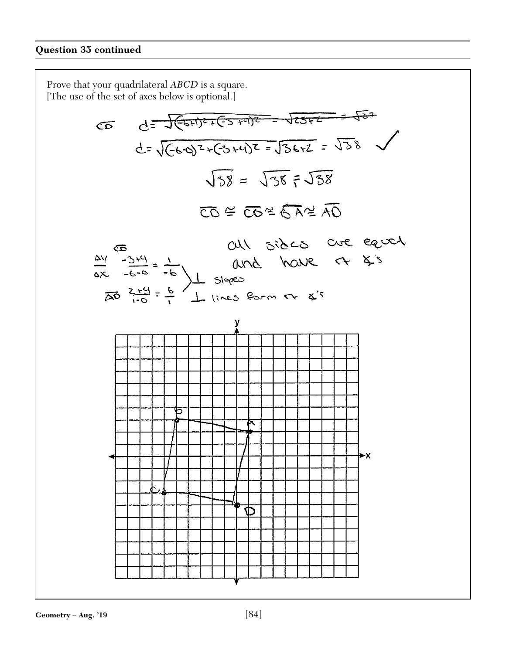Prove that your quadrilateral *ABCD* is a square. [The use of the set of axes below is optional.]  $\sigma$   $d = \sqrt{(\epsilon_0 + \epsilon_1)^2 + (\epsilon_1 - \epsilon_2)^2 + (\epsilon_3 - \epsilon_1)^2} = \sqrt{25 + 2} = \sqrt{28}$  $\sqrt{38} = \sqrt{38} = \sqrt{38}$  $\overline{CO}$  =  $\overline{CO}$  =  $\overline{CO}$  =  $\overline{AO}$ all sides are earch  $\frac{24}{40}$   $\frac{244}{100}$  =  $\frac{1}{10}$  and have r  $\frac{244}{100}$  =  $\frac{1}{10}$  slopes ⊁X D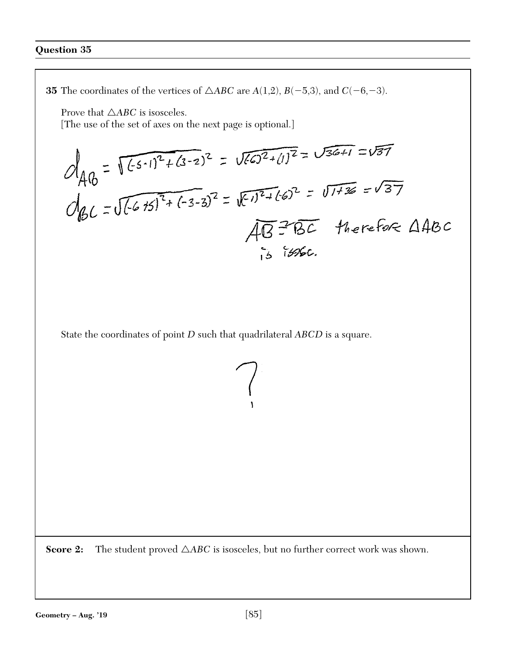**35** The coordinates of the vertices of  $\triangle ABC$  are  $A(1,2)$ ,  $B(-5,3)$ , and  $C(-6,-3)$ .

Prove that  $\triangle ABC$  is isosceles.

[The use of the set of axes on the next page is optional.]

$$
d_{40} = \sqrt{(-6.1)^{2} + (3.2)^{2}} = \sqrt{(-6.2)^{2} + (1)^{2}} = \sqrt{36 + 1} = \sqrt{37}
$$
  
 
$$
d_{60} = \sqrt{(-6.15)^{2} + (-3.2)^{2}} = \sqrt{(-1)^{2} + (-6)^{2}} = \sqrt{114} = \sqrt{37}
$$
  
 
$$
\sqrt{40} = 166
$$

State the coordinates of point *D* such that quadrilateral *ABCD* is a square.

**Score 2:** The student proved  $\triangle ABC$  is isosceles, but no further correct work was shown.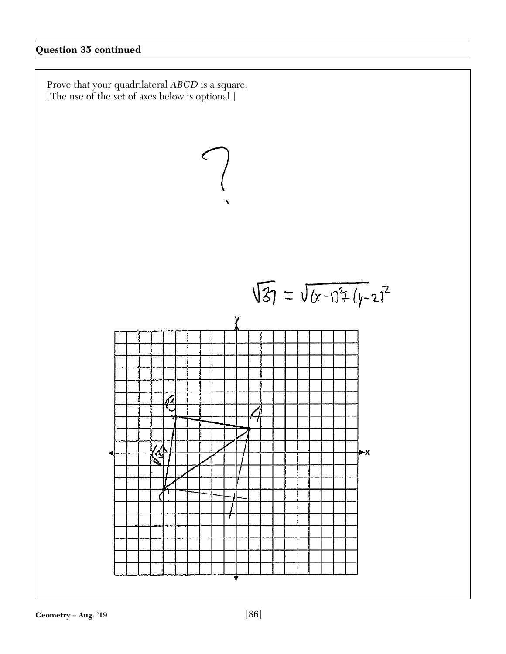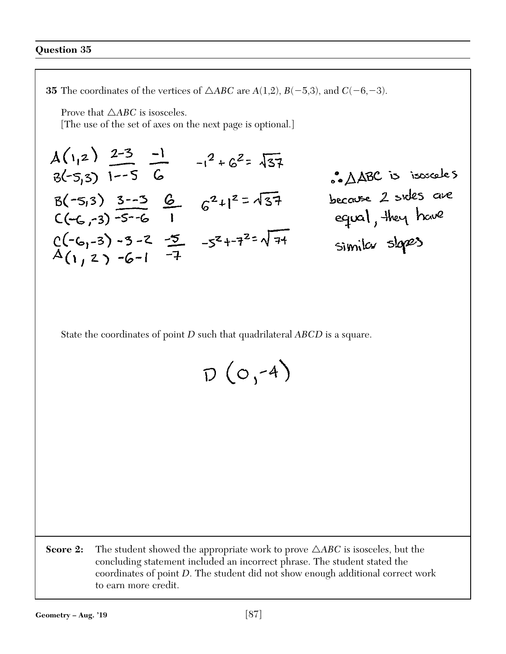**35** The coordinates of the vertices of  $\triangle ABC$  are  $A(1,2)$ ,  $B(-5,3)$ , and  $C(-6,-3)$ .

Prove that  $\triangle ABC$  is isosceles.

[The use of the set of axes on the next page is optional.]

$$
A(1,2)
$$
  $\frac{2-3}{1-5}$   $-1$   $-1^2 + 6^2 = \sqrt{37}$   
\n $B(-5,3)$  1--5 6  
\n $B(-5,3)$  3--3 6  
\n $C(-6,-3)$  -5-6 1 6<sup>2</sup>+1<sup>2</sup> =  $\sqrt{37}$   
\n $C(-6,-3)$  -5-6 1  
\n $C(-6,-3)$  -3-2  $\frac{-5}{1}$  -5<sup>2</sup>+-7<sup>2</sup>= $\sqrt{71}$   
\n $A(1,2)$  -6-1  $\frac{-7}{1}$ 

State the coordinates of point *D* such that quadrilateral *ABCD* is a square.

| $D(O, ^{2}$ | $-4$ ) |  |
|-------------|--------|--|
|             |        |  |

**Score 2:** The student showed the appropriate work to prove  $\triangle ABC$  is isosceles, but the concluding statement included an incorrect phrase. The student stated the coordinates of point *D*. The student did not show enough additional correct work to earn more credit.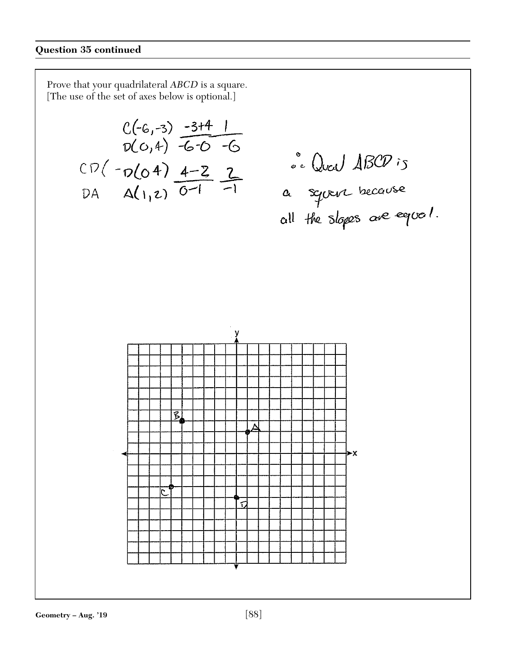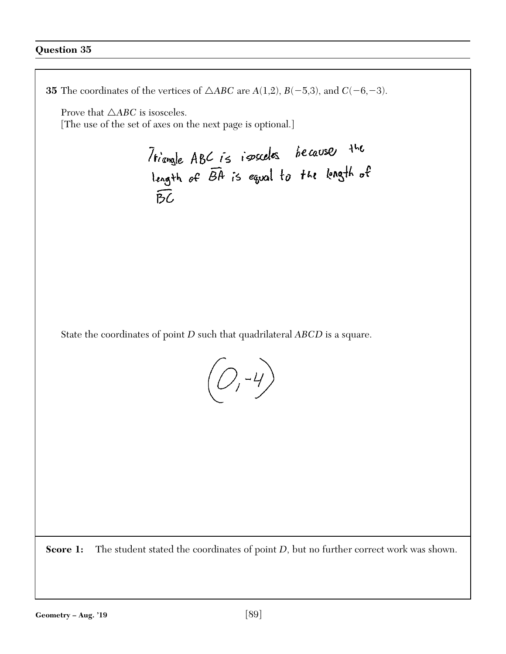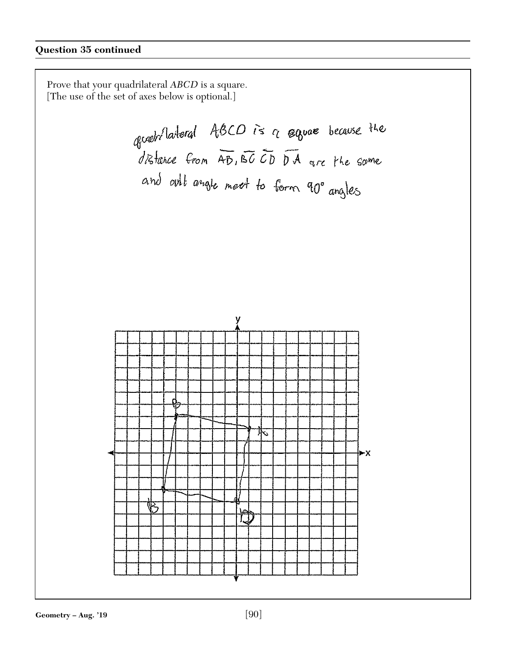Prove that your quadrilateral *ABCD* is a square. [The use of the set of axes below is optional.]

growthateral ABCD is a square because the<br>distance from AB, BCCD DA are the same and out angle meet to form 90° angles

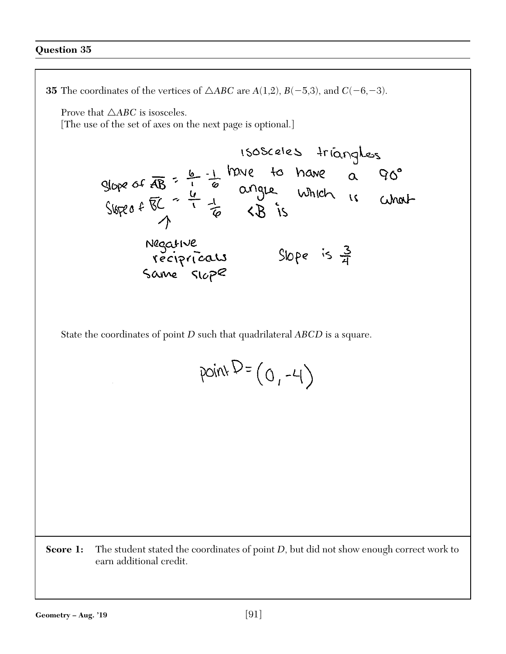**35** The coordinates of the vertices of  $\triangle ABC$  are  $A(1,2)$ ,  $B(-5,3)$ , and  $C(-6,-3)$ . Prove that  $\triangle ABC$  is isosceles. [The use of the set of axes on the next page is optional.] 1505celes triangles<br>glope of  $\frac{1}{4B}$  =  $\frac{6}{4}$  -1 have to have a 90°<br>Slope of  $\frac{1}{4B}$  =  $\frac{1}{4}$  angle which is what Negative<br>recipricals<br>Same slope Slope is  $\frac{3}{4}$ State the coordinates of point *D* such that quadrilateral *ABCD* is a square.  $pointD = (0, -4)$ **Score 1:** The student stated the coordinates of point *D*, but did not show enough correct work to earn additional credit.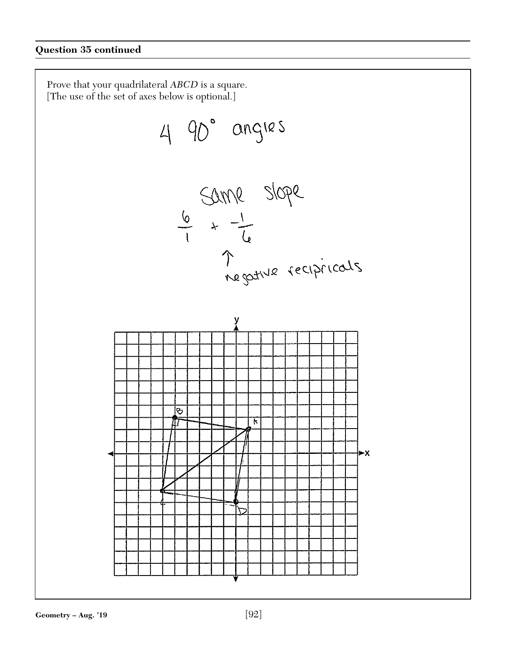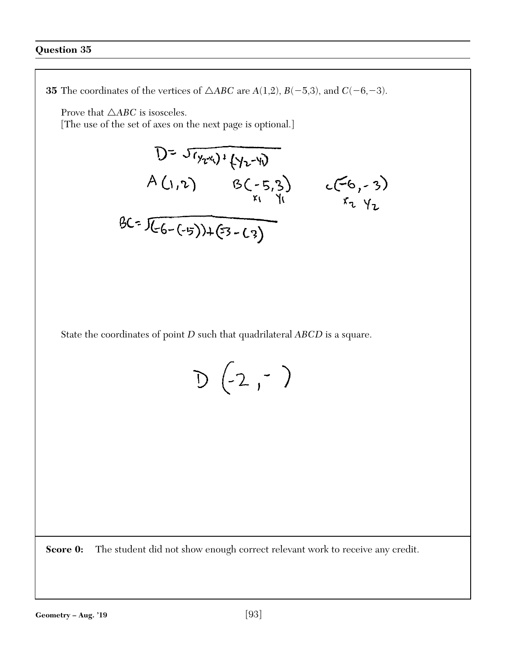